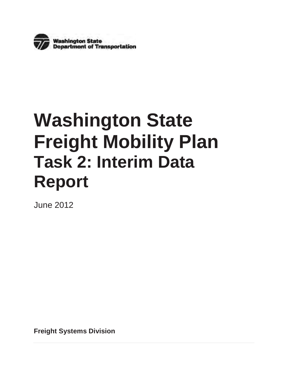

# **Washington State Freight Mobility Plan Task 2: Interim Data Report**

June 2012

**Freight Systems Division**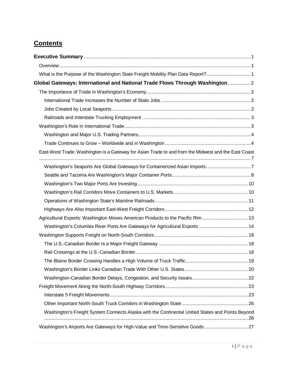# **Contents**

| What is the Purpose of the Washington State Freight Mobility Plan Data Report? 1                    |  |
|-----------------------------------------------------------------------------------------------------|--|
| Global Gateways: International and National Trade Flows Through Washington 2                        |  |
|                                                                                                     |  |
|                                                                                                     |  |
|                                                                                                     |  |
|                                                                                                     |  |
|                                                                                                     |  |
|                                                                                                     |  |
|                                                                                                     |  |
| East-West Trade: Washington is a Gateway for Asian Trade to and from the Midwest and the East Coast |  |
| Washington's Seaports Are Global Gateways for Containerized Asian Imports7                          |  |
|                                                                                                     |  |
|                                                                                                     |  |
|                                                                                                     |  |
|                                                                                                     |  |
|                                                                                                     |  |
| Agricultural Exports: Washington Moves American Products to the Pacific Rim 13                      |  |
| Washington's Columbia River Ports Are Gateways for Agricultural Exports  14                         |  |
|                                                                                                     |  |
|                                                                                                     |  |
|                                                                                                     |  |
|                                                                                                     |  |
|                                                                                                     |  |
|                                                                                                     |  |
|                                                                                                     |  |
|                                                                                                     |  |
|                                                                                                     |  |
| Washington's Freight System Connects Alaska with the Continental United States and Points Beyond    |  |
| Washington's Airports Are Gateways for High-Value and Time-Sensitive Goods 27                       |  |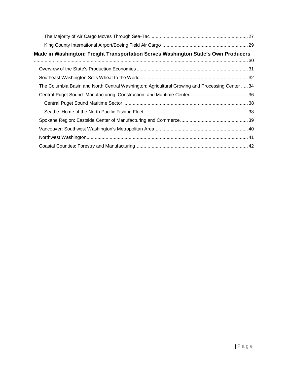| Made in Washington: Freight Transportation Serves Washington State's Own Producers              |  |
|-------------------------------------------------------------------------------------------------|--|
|                                                                                                 |  |
|                                                                                                 |  |
|                                                                                                 |  |
| The Columbia Basin and North Central Washington: Agricultural Growing and Processing Center  34 |  |
|                                                                                                 |  |
|                                                                                                 |  |
|                                                                                                 |  |
|                                                                                                 |  |
|                                                                                                 |  |
|                                                                                                 |  |
|                                                                                                 |  |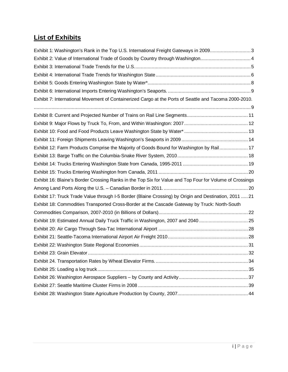# **List of Exhibits**

| Exhibit 1: Washington's Rank in the Top U.S. International Freight Gateways in 20093                     |  |
|----------------------------------------------------------------------------------------------------------|--|
|                                                                                                          |  |
|                                                                                                          |  |
|                                                                                                          |  |
|                                                                                                          |  |
|                                                                                                          |  |
| Exhibit 7: International Movement of Containerized Cargo at the Ports of Seattle and Tacoma 2000-2010.   |  |
|                                                                                                          |  |
|                                                                                                          |  |
|                                                                                                          |  |
|                                                                                                          |  |
|                                                                                                          |  |
| Exhibit 12: Farm Products Comprise the Majority of Goods Bound for Washington by Rail 17                 |  |
|                                                                                                          |  |
|                                                                                                          |  |
|                                                                                                          |  |
| Exhibit 16: Blaine's Border Crossing Ranks in the Top Six for Value and Top Four for Volume of Crossings |  |
|                                                                                                          |  |
| Exhibit 17: Truck Trade Value through I-5 Border (Blaine Crossing) by Origin and Destination, 2011  21   |  |
| Exhibit 18: Commodities Transported Cross-Border at the Cascade Gateway by Truck: North-South            |  |
|                                                                                                          |  |
| Exhibit 19: Estimated Annual Daily Truck Traffic in Washington, 2007 and 2040 25                         |  |
|                                                                                                          |  |
|                                                                                                          |  |
|                                                                                                          |  |
|                                                                                                          |  |
|                                                                                                          |  |
|                                                                                                          |  |
|                                                                                                          |  |
|                                                                                                          |  |
|                                                                                                          |  |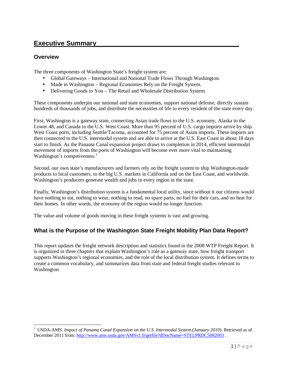# **Executive Summary\_\_\_\_\_\_\_\_\_\_\_\_\_\_\_\_\_\_\_\_\_\_\_\_\_\_\_\_\_\_\_\_\_\_\_\_\_\_\_**

#### **Overview**

l

The three components of Washington State's freight system are:

- Global Gateways International and National Trade Flows Through Washington.
- Made in Washington Regional Economies Rely on the Freight System.
- Delivering Goods to You The Retail and Wholesale Distribution System.

These components underpin our national and state economies, support national defense, directly sustain hundreds of thousands of jobs, and distribute the necessities of life to every resident of the state every day.

First, Washington is a gateway state, connecting Asian trade flows to the U.S. economy, Alaska to the Lower 48, and Canada to the U.S. West Coast. More than 95 percent of U.S. cargo imports arrive by ship. West Coast ports, including Seattle/Tacoma, accounted for 75 percent of Asian imports. These imports are then connected to the U.S. intermodal system and are able to arrive at the U.S. East Coast in about 18 days start to finish. As the Panama Canal expansion project draws to completion in 2014, efficient intermodal movement of imports from the ports of Washington will become ever more vital to maintaining Washington's competiveness. $<sup>1</sup>$ </sup>

Second, our own state's manufacturers and farmers rely on the freight system to ship Washington-made products to local customers, to the big U.S. markets in California and on the East Coast, and worldwide. Washington's producers generate wealth and jobs in every region in the state.

Finally, Washington's distribution system is a fundamental local utility, since without it our citizens would have nothing to eat, nothing to wear, nothing to read, no spare parts, no fuel for their cars, and no heat for their homes. In other words, the economy of the region would no longer function.

The value and volume of goods moving in these freight systems is vast and growing.

# **What is the Purpose of the Washington State Freight Mobility Plan Data Report?**

This report updates the freight network description and statistics found in the 2008 WTP Freight Report. It is organized in three chapters that explain Washington's role as a gateway state, how freight transport supports Washington's regional economies, and the role of the local distribution system. It defines terms to create a common vocabulary, and summarizes data from state and federal freight studies relevant to Washington.

<sup>&</sup>lt;sup>1</sup> USDA-AMS. *Impact of Panama Canal Expansion on the U.S. Intermodal System.(January 2010).* Retrieved as of December 2011 from: http://www.ams.usda.gov/AMSv1.0/getfile?dDocName=STELPRDC5082003.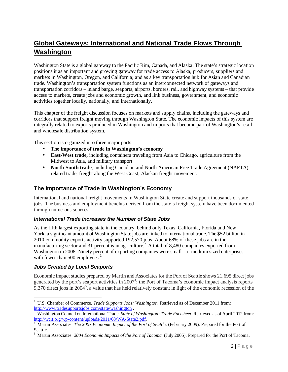# **Global Gateways: International and National Trade Flows Through Washington**

Washington State is a global gateway to the Pacific Rim, Canada, and Alaska. The state's strategic location positions it as an important and growing gateway for trade access to Alaska; producers, suppliers and markets in Washington, Oregon, and California; and as a key transportation hub for Asian and Canadian trade. Washington's transportation system functions as an interconnected network of gateways and transportation corridors – inland barge, seaports, airports, borders, rail, and highway systems – that provide access to markets, create jobs and economic growth, and link business, government, and economic activities together locally, nationally, and internationally.

This chapter of the freight discussion focuses on markets and supply chains, including the gateways and corridors that support freight moving through Washington State. The economic impacts of this system are integrally related to exports produced in Washington and imports that become part of Washington's retail and wholesale distribution system.

This section is organized into three major parts:

- **The importance of trade in Washington's economy**
- **East-West trade,** including containers traveling from Asia to Chicago, agriculture from the Midwest to Asia, and military transport.
- **North-South trade**, including Canadian and North American Free Trade Agreement (NAFTA) related trade, freight along the West Coast, Alaskan freight movement.

# **The Importance of Trade in Washington's Economy**

International and national freight movements in Washington State create and support thousands of state jobs. The business and employment benefits derived from the state's freight system have been documented through numerous sources:

#### *International Trade Increases the Number of State Jobs*

As the fifth largest exporting state in the country, behind only Texas, California, Florida and New York, a significant amount of Washington State jobs are linked to international trade. The \$52 billion in 2010 commodity exports activity supported 192,570 jobs. About 68% of these jobs are in the manufacturing sector and 31 percent is in agriculture.<sup>2</sup> A total of 8,480 companies exported from Washington in 2008. Ninety percent of exporting companies were small –to-medium sized enterprises, with fewer than 500 employees.<sup>3</sup>

#### *Jobs Created by Local Seaports*

l

Economic impact studies prepared by Martin and Associates for the Port of Seattle shows 21,695 direct jobs generated by the port's seaport activities in 2007<sup>4</sup>; the Port of Tacoma's economic impact analysis reports 9,370 direct jobs in 2004<sup>5</sup>, a value that has held relatively constant in light of the economic recession of the

<sup>2</sup> U.S. Chamber of Commerce. *Trade Supports Jobs: Washington.* Retrieved as of December 2011 from: http://www.tradesupportsjobs.com/state/washington .

<sup>3</sup> Washington Council on International Trade. *State of Washington: Trade Factsheet*. Retrieved as of April 2012 from: http://wcit.org/wp-content/uploads/2011/08/WA-State2.pdf.

<sup>&</sup>lt;sup>4</sup> Martin Associates. *The 2007 Economic Impact of the Port of Seattle*. (February 2009). Prepared for the Port of Seattle.<br><sup>5</sup> Mertin

Martin Associates. *2004 Economic Impacts of the Port of Tacoma.* (July 2005). Prepared for the Port of Tacoma.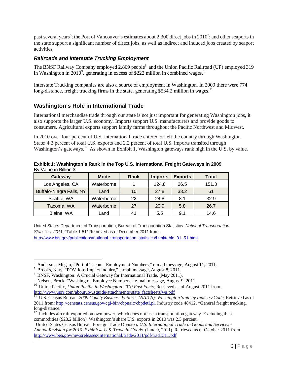past several years<sup>6</sup>; the Port of Vancouver's estimates about 2,300 direct jobs in 2010<sup>7</sup>; and other seaports in the state support a significant number of direct jobs, as well as indirect and induced jobs created by seaport activities.

#### *Railroads and Interstate Trucking Employment*

The BNSF Railway Company employed 2,869 people<sup>8</sup> and the Union Pacific Railroad (UP) employed 319 in Washington in 2010<sup>9</sup>, generating in excess of \$222 million in combined wages.<sup>10</sup>

Interstate Trucking companies are also a source of employment in Washington. In 2009 there were 774 long-distance, freight trucking firms in the state, generating \$534.2 million in wages.<sup>11</sup>

# **Washington's Role in International Trade**

International merchandise trade through our state is not just important for generating Washington jobs, it also supports the larger U.S. economy. Imports support U.S. manufacturers and provide goods to consumers. Agricultural exports support family farms throughout the Pacific Northwest and Midwest.

In 2010 over four percent of U.S. international trade entered or left the country through Washington State: 4.2 percent of total U.S. exports and 2.2 percent of total U.S. imports transited through Washington's gateways.<sup>12</sup> As shown in Exhibit 1, Washington gateways rank high in the U.S. by value.

| Exhibit 1: Washington's Rank in the Top U.S. International Freight Gateways in 2009 |  |
|-------------------------------------------------------------------------------------|--|
| By Value in Billion \$                                                              |  |

| Gateway                  | <b>Mode</b> | Rank | <b>Imports</b> | <b>Exports</b> | <b>Total</b> |
|--------------------------|-------------|------|----------------|----------------|--------------|
| Los Angeles, CA          | Waterborne  |      | 124.8          | 26.5           | 151.3        |
| Buffalo-Niagra Falls, NY | Land        | 10   | 27.8           | 33.2           | 61           |
| Seattle, WA              | Waterborne  | 22   | 24.8           | 8.1            | 32.9         |
| Tacoma, WA               | Waterborne  | 27   | 20.9           | 5.8            | 26.7         |
| Blaine, WA               | Land        | 41   | 5.5            | 9.1            | 14.6         |

United States Department of Transportation, Bureau of Transportation Statistics. *National Transportation Statistics, 2011.* "Table 1-51" Retrieved as of December 2011 from:

http://www.bts.gov/publications/national\_transportation\_statistics/html/table\_01\_51.html

<sup>6</sup> Anderson, Megan, "Port of Tacoma Employment Numbers," e-mail message, August 11, 2011.

<sup>7</sup> Brooks, Katy, "POV Jobs Impact Inquiry," e-mail message, August 8, 2011.

<sup>8</sup> BNSF. Washington: A Crucial Gateway for International Trade. (May 2011).

<sup>&</sup>lt;sup>9</sup> Nelson, Brock, "Washington Employee Numbers," e-mail message, August 9, 2011.

<sup>&</sup>lt;sup>10</sup> Union Pacific, *Union Pacific in Washington 2010 Fast Facts*, Retrieved as of August 2011 from: http://www.uprr.com/aboutup/usguide/attachments/state\_factsheets/wa.pdf

<sup>11</sup> U.S. Census Bureau. *2009 County Business Patterns (NAICS): Washington State by Industry Code*. Retrieved as of 2011 from: http://censtats.census.gov/cgi-bin/cbpnaic/cbpdetl.pl. Industry code 48412, "General freight trucking, long-distance."

 $12$  Includes aircraft exported on own power, which does not use a transportation gateway. Excluding these commodities (\$23.2 billion), Washington's share U.S. exports in 2010 was 2.3 percent.

United States Census Bureau, Foreign Trade Division. *U.S. International Trade in Goods and Services - Annual Revision for 2010*. *Exhibit 4. U.S. Trade in Goods*. (June 9, 2011). Retrieved as of October 2011 from http://www.bea.gov/newsreleases/international/trade/2011/pdf/trad1311.pdf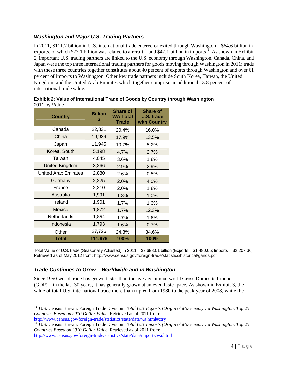# *Washington and Major U.S. Trading Partners*

In 2011, \$111.7 billion in U.S. international trade entered or exited through Washington—\$64.6 billion in exports, of which \$27.1 billion was related to aircraft<sup>13</sup>, and \$47.1 billion in imports<sup>14</sup>. As shown in Exhibit 2, important U.S. trading partners are linked to the U.S. economy through Washington. Canada, China, and Japan were the top three international trading partners for goods moving through Washington in 2011; trade with these three countries together constitutes about 40 percent of exports through Washington and over 61 percent of imports to Washington. Other key trade partners include South Korea, Taiwan, the United Kingdom, and the United Arab Emirates which together comprise an additional 13.8 percent of international trade value.

| <b>Country</b>              | <b>Billion</b><br>S | <b>Share of</b><br><b>WA Total</b><br><b>Trade</b> | <b>Share of</b><br><b>U.S. trade</b><br>with Country |
|-----------------------------|---------------------|----------------------------------------------------|------------------------------------------------------|
| Canada                      | 22,831              | 20.4%                                              | 16.0%                                                |
| China                       | 19,939              | 17.9%                                              | 13.5%                                                |
| Japan                       | 11,945              | 10.7%                                              | 5.2%                                                 |
| Korea, South                | 5,198               | 4.7%                                               | 2.7%                                                 |
| Taiwan                      | 4,045               | 3.6%                                               | 1.8%                                                 |
| <b>United Kingdom</b>       | 3,266               | 2.9%                                               | 2.9%                                                 |
| <b>United Arab Emirates</b> | 2,880               | 2.6%                                               | 0.5%                                                 |
| Germany                     | 2,225               | 2.0%                                               | 4.0%                                                 |
| France                      | 2,210               | 2.0%                                               | 1.8%                                                 |
| Australia                   | 1,991               | 1.8%                                               | 1.0%                                                 |
| Ireland                     | 1,901               | 1.7%                                               | 1.3%                                                 |
| Mexico                      | 1,872               | 1.7%                                               | 12.3%                                                |
| <b>Netherlands</b>          | 1,854               | 1.7%                                               | 1.8%                                                 |
| Indonesia                   | 1,793               | 1.6%                                               | 0.7%                                                 |
| Other                       | 27,726              | 24.8%                                              | 34.6%                                                |
| Total                       | 111,676             | 100%                                               | 100%                                                 |

**Exhibit 2: Value of International Trade of Goods by Country through Washington**  2011 by Value

Total Value of U.S. trade (Seasonally Adjusted) in 2011 = \$3,688.01 billion (Exports = \$1,480.65; Imports = \$2.207.36). Retrieved as of May 2012 from: http://www.census.gov/foreign-trade/statistics/historical/gands.pdf

#### *Trade Continues to Grow – Worldwide and in Washington*

 $\overline{a}$ 

Since 1950 world trade has grown faster than the average annual world Gross Domestic Product (GDP)—in the last 30 years, it has generally grown at an even faster pace. As shown in Exhibit 3, the value of total U.S. international trade more than tripled from 1980 to the peak year of 2008, while the

<sup>13</sup> U.S. Census Bureau, Foreign Trade Division. *Total U.S. Exports (Origin of Movement) via Washington, Top 25 Countries Based on 2010 Dollar Value*. Retrieved as of 2011 from: http://www.census.gov/foreign-trade/statistics/state/data/wa.html#ctry

<sup>&</sup>lt;sup>14</sup> U.S. Census Bureau, Foreign Trade Division. *Total U.S. Imports (Origin of Movement) via Washington, Top 25 Countries Based on 2010 Dollar Value*. Retrieved as of 2011 from: http://www.census.gov/foreign-trade/statistics/state/data/imports/wa.html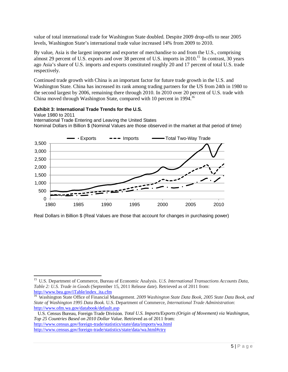value of total international trade for Washington State doubled. Despite 2009 drop-offs to near 2005 levels, Washington State's international trade value increased 14% from 2009 to 2010.

By value, Asia is the largest importer and exporter of merchandise to and from the U.S., comprising almost 29 percent of U.S. exports and over 38 percent of U.S. imports in 2010.<sup>15</sup> In contrast, 30 years ago Asia's share of U.S. imports and exports constituted roughly 20 and 17 percent of total U.S. trade respectively.

Continued trade growth with China is an important factor for future trade growth in the U.S. and Washington State. China has increased its rank among trading partners for the US from 24th in 1980 to the second largest by 2006, remaining there through 2010. In 2010 over 20 percent of U.S. trade with China moved through Washington State, compared with 10 percent in 1994.<sup>16</sup>

#### **Exhibit 3: International Trade Trends for the U.S.**

l

Value 1980 to 2011 International Trade Entering and Leaving the United States Nominal Dollars in Billion \$ (Nominal Values are those observed in the market at that period of time)



Real Dollars in Billion \$ (Real Values are those that account for changes in purchasing power)

<sup>15</sup> U.S. Department of Commerce, Bureau of Economic Analysis. *U.S. International Transactions Accounts Data, Table 2: U.S. Trade in Goods* (September 15, 2011 Release date). Retrieved as of 2011 from: http://www.bea.gov/iTable/index\_ita.cfm

<sup>16</sup> Washington State Office of Financial Management. *2009 Washington State Data Book, 2005 State Data Book, and State of Washington 1995 Data Book.* U.S. Department of Commerce, *International Trade Administration*: http://www.ofm.wa.gov/databook/default.asp

U.S. Census Bureau, Foreign Trade Division. *Total U.S. Imports/Exports (Origin of Movement) via Washington, Top 25 Countries Based on 2010 Dollar Value*. Retrieved as of 2011 from: http://www.census.gov/foreign-trade/statistics/state/data/imports/wa.html http://www.census.gov/foreign-trade/statistics/state/data/wa.html#ctry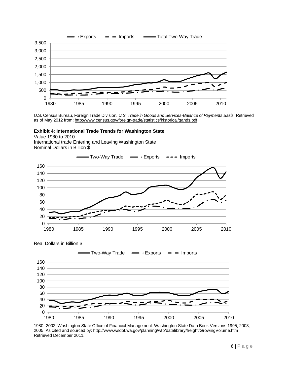

U.S. Census Bureau, Foreign Trade Division. *U.S. Trade in Goods and Services-Balance of Payments Basis.* Retrieved as of May 2012 from: http://www.census.gov/foreign-trade/statistics/historical/gands.pdf .

#### **Exhibit 4: International Trade Trends for Washington State**

Value 1980 to 2010 International trade Entering and Leaving Washington State Nominal Dollars in Billion \$

Real Dollars in Billion \$





1980 -2002: Washington State Office of Financial Management. Washington State Data Book Versions 1995, 2003, 2005. As cited and sourced by: http://www.wsdot.wa.gov/planning/wtp/datalibrary/freight/GrowingVolume.htm Retrieved December 2011.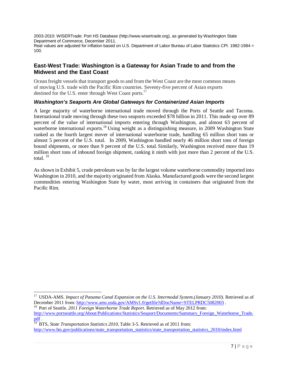2003-2010: WISERTrade: Port HS Database (http://www.wisertrade.org), as generated by Washington State Department of Commerce, December 2011. Real values are adjusted for inflation based on U.S. Department of Labor Bureau of Labor Statistics CPI. 1982-1984 = 100.

# **East-West Trade: Washington is a Gateway for Asian Trade to and from the Midwest and the East Coast**

Ocean freight vessels that transport goods to and from the West Coast are the most common means of moving U.S. trade with the Pacific Rim countries. Seventy-five percent of Asian exports destined for the U.S. enter through West Coast ports.<sup>17</sup>

#### *Washington's Seaports Are Global Gateways for Containerized Asian Imports*

A large majority of waterborne international trade moved through the Ports of Seattle and Tacoma. International trade moving through these two seaports exceeded \$78 billion in 2011. This made up over 89 percent of the value of international imports entering through Washington, and almost 63 percent of waterborne international exports.<sup>18</sup> Using weight as a distinguishing measure, in 2009 Washington State ranked as the fourth largest mover of international waterborne trade, handling 65 million short tons or almost 5 percent of the U.S. total. In 2009, Washington handled nearly 46 million short tons of foreign bound shipments, or more than 9 percent of the U.S. total. Similarly, Washington received more than 19 million short tons of inbound foreign shipment, ranking it ninth with just more than 2 percent of the U.S. total. $19$ 

As shown in Exhibit 5, crude petroleum was by far the largest volume waterborne commodity imported into Washington in 2010, and the majority originated from Alaska. Manufactured goods were the second largest commodities entering Washington State by water, most arriving in containers that originated from the Pacific Rim.

<sup>&</sup>lt;sup>17</sup> USDA-AMS. *Impact of Panama Canal Expansion on the U.S. Intermodal System.(January 2010).* Retrieved as of December 2011 from: http://www.ams.usda.gov/AMSv1.0/getfile?dDocName=STELPRDC5082003.

<sup>&</sup>lt;sup>18</sup> Port of Seattle. *2011 Foreign Waterborne Trade Report*. Retrieved as of May 2012 from: http://www.portseattle.org/About/Publications/Statistics/Seaport/Documents/Summary\_Foreign\_Waterborne\_Trade. pdf .

<sup>&</sup>lt;sup>19</sup> BTS, State Transportation Statistics 2010, Table 3-5. Retrieved as of 2011 from: http://www.bts.gov/publications/state\_transportation\_statistics/state\_transportation\_statistics\_2010/index.html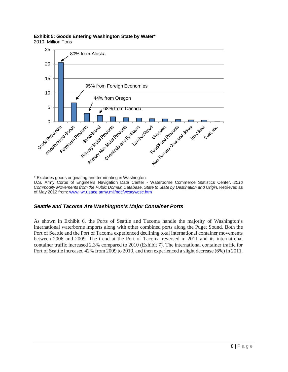# **Exhibit 5: Goods Entering Washington State by Water\***

2010, Million Tons



\* Excludes goods originating and terminating in Washington.

U.S. Army Corps of Engineers Navigation Data Center - Waterborne Commerce Statistics Center. *2010 Commodity Movements from the Public Domain Database. State to State by Destination and Origin.* Retrieved as of May 2012 from: www.iwr.usace.army.mil/ndc/wcsc/wcsc.htm

# *Seattle and Tacoma Are Washington's Major Container Ports*

As shown in Exhibit 6, the Ports of Seattle and Tacoma handle the majority of Washington's international waterborne imports along with other combined ports along the Puget Sound. Both the Port of Seattle and the Port of Tacoma experienced declining total international container movements between 2006 and 2009. The trend at the Port of Tacoma reversed in 2011 and its international container traffic increased 2.3% compared to 2010 (Exhibit 7). The international container traffic for Port of Seattle increased 42% from 2009 to 2010, and then experienced a slight decrease (6%) in 2011.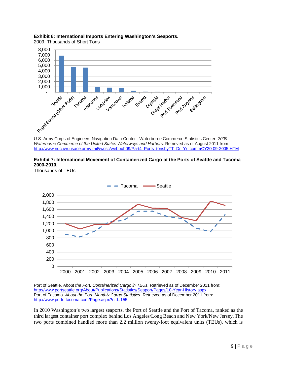

# **Exhibit 6: International Imports Entering Washington's Seaports.**

U.S. Army Corps of Engineers Navigation Data Center - Waterborne Commerce Statistics Center. *2009 Waterborne Commerce of the United States Waterways and Harbors.* Retrieved as of August 2011 from: http://www.ndc.iwr.usace.army.mil//wcsc/webpub09/Part4\_Ports\_tonsbyTT\_Dr\_Yr\_commCY20 09-2005.HTM



Thousands of TEUs



Port of Seattle. *About the Port. Containerized Cargo in TEUs.* Retrieved as of December 2011 from: http://www.portseattle.org/About/Publications/Statistics/Seaport/Pages/10-Year-History.aspx Port of Tacoma. *About the Port. Monthly Cargo Statistics.* Retrieved as of December 2011 from: http://www.portoftacoma.com/Page.aspx?nid=155

In 2010 Washington's two largest seaports, the Port of Seattle and the Port of Tacoma, ranked as the third largest container port complex behind Los Angeles/Long Beach and New York/New Jersey. The two ports combined handled more than 2.2 million twenty-foot equivalent units (TEUs), which is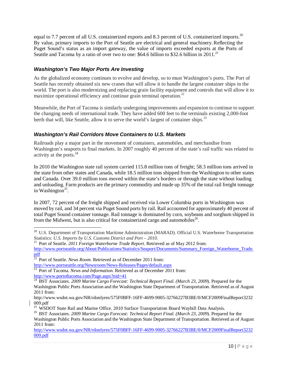equal to 7.7 percent of all U.S. containerized exports and 8.3 percent of U.S. containerized imports.<sup>20</sup> By value, primary imports to the Port of Seattle are electrical and general machinery. Reflecting the Puget Sound's status as an import gateway, the value of imports exceeded exports at the Ports of Seattle and Tacoma by a ratio of over two to one: \$64.6 billion to \$32.6 billion in 2011.<sup>21</sup>

### *Washington's Two Major Ports Are Investing*

As the globalized economy continues to evolve and develop, so to must Washington's ports. The Port of Seattle has recently obtained six new cranes that will allow it to handle the largest container ships in the world. The port is also modernizing and replacing grain facility equipment and controls that will allow it to maximize operational efficiency and continue grain terminal operation.<sup>22</sup>

Meanwhile, the Port of Tacoma is similarly undergoing improvements and expansion to continue to support the changing needs of international trade. They have added 600 feet to the terminals existing 2,000-foot berth that will, like Seattle, allow it to serve the world's largest of container ships.<sup>23</sup>

#### *Washington's Rail Corridors Move Containers to U.S. Markets*

Railroads play a major part in the movement of containers, automobiles, and merchandise from Washington's seaports to final markets. In 2007 roughly 40 percent of the state's rail traffic was related to activity at the ports.<sup>24</sup>

In 2010 the Washington state rail system carried 115.8 million tons of freight; 58.3 million tons arrived in the state from other states and Canada, while 18.5 million tons shipped from the Washington to other states and Canada. Over 39.0 million tons moved within the state's borders or through the state without loading and unloading. Farm products are the primary commodity and made up 35% of the total rail freight tonnage in Washington<sup>25</sup>.

In 2007, 72 percent of the freight shipped and received via Lower Columbia ports in Washington was moved by rail, and 34 percent via Puget Sound ports by rail. Rail accounted for approximately 40 percent of total Puget Sound container tonnage. Rail tonnage is dominated by corn, soybeans and sorghum shipped in from the Midwest, but is also critical for containerized cargo and automobiles<sup>26</sup>.

l

<sup>&</sup>lt;sup>20</sup> U.S. Department of Transportation Maritime Administration (MARAD). Official U.S. Waterborne Transportation Statistics: *U.S. Imports by U.S. Customs District and Port – 2010.* 

<sup>21</sup> Port of Seattle. *2011 Foreign Waterborne Trade Report*. Retrieved as of May 2012 from:

http://www.portseattle.org/About/Publications/Statistics/Seaport/Documents/Summary\_Foreign\_Waterborne\_Trade. pdf

<sup>22</sup> Port of Seattle. *News Room.* Retrieved as of December 2011 from:

http://www.portseattle.org/Newsroom/News-Releases/Pages/default.aspx

<sup>&</sup>lt;sup>23</sup> Port of Tacoma. *News and Information*. Retrieved as of December 2011 from:

http://www.portoftacoma.com/Page.aspx?nid=41

<sup>&</sup>lt;sup>24</sup> BST Associates. *2009 Marine Cargo Forecast: Technical Report Final. (March 23, 2009). Prepared for the* Washington Public Ports Association and the Washington State Department of Transportation. Retrieved as of August 2011 from:

http://www.wsdot.wa.gov/NR/rdonlyres/575F0BFF-16FF-4699-9005-32766227B3BE/0/MCF2009FinalReport3232 009.pdf

<sup>&</sup>lt;sup>25</sup> WSDOT State Rail and Marine Office. 2010 Surface Transportation Board Waybill Data Analysis.

<sup>26</sup> BST Associates. *2009 Marine Cargo Forecast: Technical Report Final. (March 23, 2009*). Prepared for the Washington Public Ports Association and the Washington State Department of Transportation. Retrieved as of August 2011 from:

http://www.wsdot.wa.gov/NR/rdonlyres/575F0BFF-16FF-4699-9005-32766227B3BE/0/MCF2009FinalReport3232 009.pdf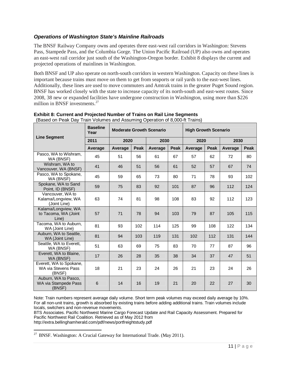# *Operations of Washington State's Mainline Railroads*

The BNSF Railway Company owns and operates three east-west rail corridors in Washington: Stevens Pass, Stampede Pass, and the Columbia Gorge. The Union Pacific Railroad (UP) also owns and operates an east-west rail corridor just south of the Washington-Oregon border. Exhibit 8 displays the current and projected operations of mainlines in Washington.

Both BNSF and UP also operate on north-south corridors in western Washington. Capacity on these lines is important because trains must move on them to get from seaports or rail yards to the east-west lines. Additionally, these lines are used to move commuters and Amtrak trains in the greater Puget Sound region. BNSF has worked closely with the state to increase capacity of its north-south and east-west routes. Since 2008, 38 new or expanded facilities have undergone construction in Washington, using more than \$226 million in BNSF investments.<sup>27</sup>

|                                                          | <b>Baseline</b><br>Year |         |             | <b>Moderate Growth Scenario</b> |             | <b>High Growth Scenario</b> |             |         |             |
|----------------------------------------------------------|-------------------------|---------|-------------|---------------------------------|-------------|-----------------------------|-------------|---------|-------------|
| <b>Line Segment</b>                                      | 2011                    | 2020    |             | 2030                            |             | 2020                        |             | 2030    |             |
|                                                          | Average                 | Average | <b>Peak</b> | Average                         | <b>Peak</b> | Average                     | <b>Peak</b> | Average | <b>Peak</b> |
| Pasco, WA to Wishram,<br>WA (BNSF)                       | 45                      | 51      | 56          | 61                              | 67          | 57                          | 62          | 72      | 80          |
| Wishram, WA to<br>Vancouver, WA (BNSF)                   | 41                      | 46      | 51          | 56                              | 61          | 52                          | 57          | 67      | 74          |
| Pasco, WA to Spokane,<br>WA (BNSF)                       | 45                      | 59      | 65          | 73                              | 80          | 71                          | 78          | 93      | 102         |
| Spokane, WA to Sand<br>Point, ID (BNSF)                  | 59                      | 75      | 83          | 92                              | 101         | 87                          | 96          | 112     | 124         |
| Vancouver, WA to<br>Kalama/Longview, WA<br>(Joint Line)  | 63                      | 74      | 81          | 98                              | 108         | 83                          | 92          | 112     | 123         |
| Kalama/Longview, WA<br>to Tacoma, WA (Joint<br>Line)     | 57                      | 71      | 78          | 94                              | 103         | 79                          | 87          | 105     | 115         |
| Tacoma, WA to Auburn,<br>WA (Joint Line)                 | 81                      | 93      | 102         | 114                             | 125         | 99                          | 108         | 122     | 134         |
| Auburn, WA to Seattle.<br>WA (Joint Line)                | 81                      | 94      | 103         | 119                             | 131         | 102                         | 112         | 131     | 144         |
| Seattle, WA to Everett,<br>WA (BNSF)                     | 51                      | 63      | 69          | 75                              | 83          | 70                          | 77          | 87      | 96          |
| Everett, WA to Blaine,<br>WA (BNSF)                      | 17                      | 26      | 28          | 35                              | 38          | 34                          | 37          | 47      | 51          |
| Everett, WA to Spokane,<br>WA via Stevens Pass<br>(BNSF) | 18                      | 21      | 23          | 24                              | 26          | 21                          | 23          | 24      | 26          |
| Auburn, WA to Pasco,<br>WA via Stampede Pass<br>(BNSF)   | $6\phantom{1}$          | 14      | 16          | 19                              | 21          | 20                          | 22          | 27      | 30          |

**Exhibit 8: Current and Projected Number of Trains on Rail Line Segments**  (Based on Peak Day Train Volumes and Assuming Operation of 8,000-ft Trains)

Note: Train numbers represent average daily volume. Short term peak volumes may exceed daily average by 10%. For all non-unit trains, growth is absorbed by existing trains before adding additional trains. Train volumes include locals, switchers and non-revenue movements.

BTS Associates. Pacific Northwest Marine Cargo Forecast Update and Rail Capacity Assessment. Prepared for Pacific Northwest Rail Coalition. Retrieved as of May 2012 from

http://extra.bellinghamherald.com/pdf/news/portfreightstudy.pdf

 $27$  BNSF. Washington: A Crucial Gateway for International Trade. (May 2011).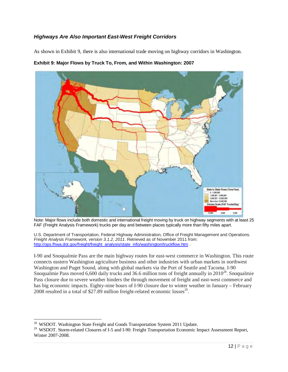# *Highways Are Also Important East-West Freight Corridors*

As shown in Exhibit 9, there is also international trade moving on highway corridors in Washington.



**Exhibit 9: Major Flows by Truck To, From, and Within Washington: 2007** 

Note: Major flows include both domestic and international freight moving by truck on highway segments with at least 25 FAF (Freight Analysis Framework) trucks per day and between places typically more than fifty miles apart.

U.S. Department of Transportation, Federal Highway Administration, Office of Freight Management and Operations. *Freight Analysis Framework, version 3.1.2, 2011*. Retrieved as of November 2011 from: http://ops.fhwa.dot.gov/freight/freight\_analysis/state\_info/washington/truckflow.htm .

I-90 and Snoqualmie Pass are the main highway routes for east-west commerce in Washington. This route connects eastern Washington agriculture business and other industries with urban markets in northwest Washington and Puget Sound, along with global markets via the Port of Seattle and Tacoma. I-90 Snoqualmie Pass moved 6,600 daily trucks and 36.6 million tons of freight annually in  $2010^{28}$ . Snoqualmie Pass closure due to severe weather hinders the through movement of freight and east-west commerce and has big economic impacts. Eighty-nine hours of I-90 closure due to winter weather in January – February 2008 resulted in a total of \$27.89 million freight-related economic losses $^{29}$ .

l

<sup>&</sup>lt;sup>28</sup> WSDOT. Washington State Freight and Goods Transportation System 2011 Update.

<sup>&</sup>lt;sup>29</sup> WSDOT. Storm-related Closures of I-5 and I-90: Freight Transportation Economic Impact Assessment Report, Winter 2007-2008.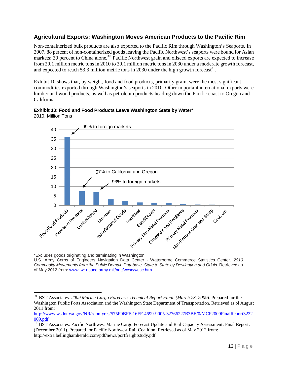# **Agricultural Exports: Washington Moves American Products to the Pacific Rim**

Non-containerized bulk products are also exported to the Pacific Rim through Washington's Seaports. In 2007, 88 percent of non-containerized goods leaving the Pacific Northwest's seaports were bound for Asian markets; 30 percent to China alone.<sup>30</sup> Pacific Northwest grain and oilseed exports are expected to increase from 20.1 million metric tons in 2010 to 39.1 million metric tons in 2030 under a moderate growth forecast, and expected to reach 53.3 million metric tons in 2030 under the high growth forecast<sup>31</sup>.

Exhibit 10 shows that, by weight, food and food products, primarily grain, were the most significant commodities exported through Washington's seaports in 2010. Other important international exports were lumber and wood products, as well as petroleum products heading down the Pacific coast to Oregon and California.



#### **Exhibit 10: Food and Food Products Leave Washington State by Water\***  2010, Million Tons

\*Excludes goods originating and terminating in Washington.

l

U.S. Army Corps of Engineers Navigation Data Center - Waterborne Commerce Statistics Center. *2010 Commodity Movements from the Public Domain Database. State to State by Destination and Origin.* Retrieved as of May 2012 from: www.iwr.usace.army.mil/ndc/wcsc/wcsc.htm

<sup>30</sup> BST Associates. *2009 Marine Cargo Forecast: Technical Report Final. (March 23, 2009*). Prepared for the Washington Public Ports Association and the Washington State Department of Transportation. Retrieved as of August 2011 from:

http://www.wsdot.wa.gov/NR/rdonlyres/575F0BFF-16FF-4699-9005-32766227B3BE/0/MCF2009FinalReport3232 009.pdf

<sup>&</sup>lt;sup>31</sup> BST Associates. Pacific Northwest Marine Cargo Forecast Update and Rail Capacity Assessment: Final Report. (December 2011). Prepared for Pacific Northwest Rail Coalition. Retrieved as of May 2012 from: http://extra.bellinghamherald.com/pdf/news/portfreightstudy.pdf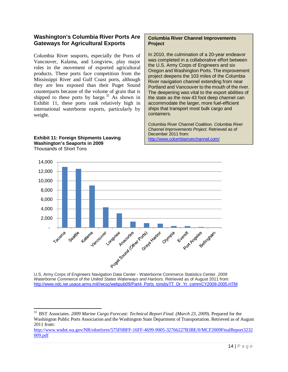# **Washington's Columbia River Ports Are Gateways for Agricultural Exports**

Columbia River seaports, especially the Ports of Vancouver, Kalama, and Longview, play major roles in the movement of exported agricultural products. These ports face competition from the Mississippi River and Gulf Coast ports, although they are less exposed than their Puget Sound counterparts because of the volume of grain that is shipped to these ports by barge.<sup>32</sup> As shown in Exhibit 11, these ports rank relatively high in international waterborne exports, particularly by weight.

#### **Exhibit 11: Foreign Shipments Leaving Washington's Seaports in 2009**  Thousands of Short Tons

 $\overline{a}$ 

#### **Columbia River Channel Improvements Project**

In 2010, the culmination of a 20-year endeavor was completed in a collaborative effort between the U.S. Army Corps of Engineers and six Oregon and Washington Ports. The improvement project deepens the 103 miles of the Columbia River navigation channel extending from near Portland and Vancouver to the mouth of the river. The deepening was vital to the export abilities of the state as the now 43 foot deep channel can accommodate the larger, more fuel-efficient ships that transport most bulk cargo and containers.

Columbia River Channel Coalition. *Columbia River Channel Improvements Project.* Retrieved as of December 2011 from: http://www.columbiariverchannel.com/



U.S. Army Corps of Engineers Navigation Data Center - Waterborne Commerce Statistics Center. *2009 Waterborne Commerce of the United States Waterways and Harbors.* Retrieved as of August 2011 from: http://www.ndc.iwr.usace.army.mil//wcsc/webpub09/Part4\_Ports\_tonsbyTT\_Dr\_Yr\_commCY2009-2005.HTM

<sup>32</sup> BST Associates. *2009 Marine Cargo Forecast: Technical Report Final. (March 23, 2009*). Prepared for the Washington Public Ports Association and the Washington State Department of Transportation. Retrieved as of August 2011 from:

http://www.wsdot.wa.gov/NR/rdonlyres/575F0BFF-16FF-4699-9005-32766227B3BE/0/MCF2009FinalReport3232 009.pdf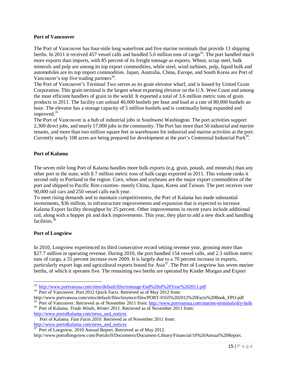#### **Port of Vancouver**

The Port of Vancouver has four-mile long waterfront and five marine terminals that provide 13 shipping berths. In 2011 it received 457 vessel calls and handled 5.6 million tons of cargo<sup>33</sup>. The port handled much more exports than imports, with 85 percent of its freight tonnage as exports. Wheat, scrap steel, bulk minerals and pulp are among its top export commodities, while steel, wind turbines, pulp, liquid bulk and automobiles are its top import commodities. Japan, Australia, China, Europe, and South Korea are Port of Vancouver's top five trading partners<sup>34</sup>.

The Port of Vancouver's Terminal Two serves as its grain elevator wharf, and is leased by United Grain Corporation. This grain terminal is the largest wheat exporting elevator on the U.S. West Coast and among the most efficient handlers of grain in the world. It exported a total of 3.6 million metric tons of grain products in 2011. The facility can unload 40,000 bushels per hour and load at a rate of 80,000 bushels an hour. The elevator has a storage capacity of 5 million bushels and is continually being expanded and improved.<sup>35</sup>

The Port of Vancouver is a hub of industrial jobs in Southwest Washington. The port activities support 2,300 direct jobs, and nearly 17,000 jobs in the community. The Port has more than 50 industrial and marine tenants, and more than two million square feet in warehouses for industrial and marine activities at the port. Currently nearly 108 acres are being prepared for development at the port's Centennial Industrial Park<sup>34</sup>.

#### **Port of Kalama**

The seven mile long Port of Kalama handles more bulk exports (e.g. grain, potash, and minerals) than any other port in the state, with 8.7 million metric tons of bulk cargo exported in 2011. This volume ranks it second only to Portland in the region. Corn, wheat and soybeans are the major export commodities of the port and shipped to Pacific Rim counties- mostly China, Japan, Korea and Taiwan. The port receives over 90,000 rail cars and 250 vessel calls each year.

To meet rising demands and to maintain competitiveness, the Port of Kalama has made substantial investments, \$36 million, in infrastructure improvements and expansion that is expected to increase Kalama Export facility throughput by 25 percent. Other improvements in recent years include additional rail, along with a hopper pit and dock improvements. This year, they plan to add a new dock and handling facilities.<sup>36</sup>

#### **Port of Longview**

 $\overline{a}$ 

In 2010, Longview experienced its third consecutive record setting revenue year, grossing more than \$27.7 million in operating revenue. During 2010, the port handled 154 vessel calls, and 2.3 million metric tons of cargo, a 55 percent increase over 2009. It is largely due to a 70 percent increase in exports, particularly export logs and agricultural exports bound for Asia<sup>37</sup>. The Port of Longview has seven marine berths, of which it operates five. The remaining two berths are operated by Kinder Morgan and Export

<sup>33</sup> http://www.portvanusa.com/sites/default/files/tonnage-End%20of%20Year%202011.pdf

<sup>&</sup>lt;sup>34</sup> Port of Vancouver. Port 2012 Quick Facts. Retrieved as of May 2012 from:

http://www.portvanusa.com/sites/default/files/tinymce/files/PORT-0165%202012%20Facts%20Book\_FPO.pdf <sup>35</sup> Port of Vancouver. Retrieved as of November 2011 from: http://www.portvanusa.com/marine-terminals/dry-bulk

<sup>36</sup> Port of Kalama. *Trade Winds, Winter 2011.* Retrieved as of November 2011 from: http://www.portofkalama.com/news\_and\_notices

Port of Kalama. *Fast Facts 2010.* Retrieved as of November 2011 from: http://www.portofkalama.com/news\_and\_notices

 $37$  Port of Longview. 2010 Annual Report. Retrieved as of May 2012.

http://www.portoflongview.com/Portals/0/Documents/Document-Library/Financial/10%20Annual%20Report.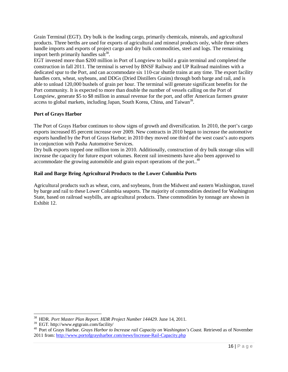Grain Terminal (EGT). Dry bulk is the leading cargo, primarily chemicals, minerals, and agricultural products. Three berths are used for exports of agricultural and mineral products only, while three others handle imports and exports of project cargo and dry bulk commodities, steel and logs. The remaining import berth primarily handles salt<sup>38</sup>.

EGT invested more than \$200 million in Port of Longview to build a grain terminal and completed the construction in fall 2011. The terminal is served by BNSF Railway and UP Railroad mainlines with a dedicated spur to the Port, and can accommodate six 110-car shuttle trains at any time. The export facility handles corn, wheat, soybeans, and DDGs (Dried Distillers Grains) through both barge and rail, and is able to unload 120,000 bushels of grain per hour. The terminal will generate significant benefits for the Port community. It is expected to more than double the number of vessels calling on the Port of Longview, generate \$5 to \$8 million in annual revenue for the port, and offer American farmers greater access to global markets, including Japan, South Korea, China, and Taiwan<sup>39</sup>.

#### **Port of Grays Harbor**

The Port of Grays Harbor continues to show signs of growth and diversification. In 2010, the port's cargo exports increased 85 percent increase over 2009. New contracts in 2010 began to increase the automotive exports handled by the Port of Grays Harbor; in 2010 they moved one third of the west coast's auto exports in conjunction with Pasha Automotive Services.

Dry bulk exports topped one million tons in 2010. Additionally, construction of dry bulk storage silos will increase the capacity for future export volumes. Recent rail investments have also been approved to accommodate the growing automobile and grain export operations of the port..<sup>40</sup>

#### **Rail and Barge Bring Agricultural Products to the Lower Columbia Ports**

Agricultural products such as wheat, corn, and soybeans, from the Midwest and eastern Washington, travel by barge and rail to these Lower Columbia seaports. The majority of commodities destined for Washington State, based on railroad waybills, are agricultural products. These commodities by tonnage are shown in Exhibit 12.

<sup>38</sup> HDR. *Port Master Plan Report. HDR Project Number 144429.* June 14, 2011.

<sup>39</sup> EGT. http://www.egtgrain.com/facility/

<sup>40</sup> Port of Grays Harbor. *Grays Harbor to Increase rail Capacity on Washington's Coast.* Retrieved as of November 2011 from: http://www.portofgraysharbor.com/news/Increase-Rail-Capacity.php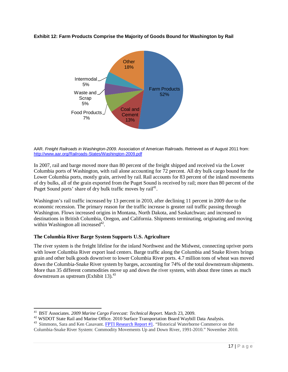#### **Exhibit 12: Farm Products Comprise the Majority of Goods Bound for Washington by Rail**



AAR. *Freight Railroads in Washington-2009.* Association of American Railroads. Retrieved as of August 2011 from: http://www.aar.org/Railroads-States/Washington-2009.pdf

In 2007, rail and barge moved more than 80 percent of the freight shipped and received via the Lower Columbia ports of Washington, with rail alone accounting for 72 percent. All dry bulk cargo bound for the Lower Columbia ports, mostly grain, arrived by rail.Rail accounts for 83 percent of the inland movements of dry bulks, all of the grain exported from the Puget Sound is received by rail; more than 80 percent of the Puget Sound ports' share of dry bulk traffic moves by rail<sup>41</sup>.

Washington's rail traffic increased by 13 percent in 2010, after declining 11 percent in 2009 due to the economic recession. The primary reason for the traffic increase is greater rail traffic passing through Washington. Flows increased origins in Montana, North Dakota, and Saskatchwan; and increased to destinations in British Columbia, Oregon, and California. Shipments terminating, originating and moving within Washington all increased $42$ .

#### **The Columbia River Barge System Supports U.S. Agriculture**

The river system is the freight lifeline for the inland Northwest and the Midwest, connecting upriver ports with lower Columbia River export load centers. Barge traffic along the Columbia and Snake Rivers brings grain and other bulk goods downriver to lower Columbia River ports. 4.7 million tons of wheat was moved down the Columbia-Snake River system by barges, accounting for 74% of the total downstream shipments. More than 35 different commodities move up and down the river system, with about three times as much downstream as upstream (Exhibit 13). $43$ 

<sup>41</sup> BST Associates. *2009 Marine Cargo Forecast: Technical Report.* March 23, 2009.

<sup>&</sup>lt;sup>42</sup> WSDOT State Rail and Marine Office. 2010 Surface Transportation Board Waybill Data Analysis.

<sup>&</sup>lt;sup>43</sup> Simmons, Sara and Ken Casavant. FPTI Research Report #1. "Historical Waterborne Commerce on the Columbia-Snake River System: Commodity Movements Up and Down River, 1991-2010." November 2010.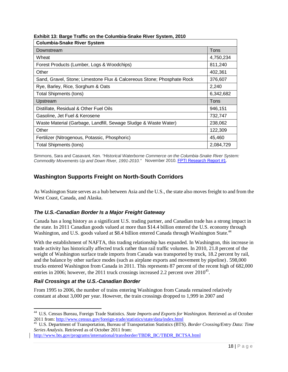| <b>Columbia-Snake River System</b>                                     |           |
|------------------------------------------------------------------------|-----------|
| Downstream                                                             | Tons      |
| Wheat                                                                  | 4,750,234 |
| Forest Products (Lumber, Logs & Woodchips)                             | 811,240   |
| Other                                                                  | 402,361   |
| Sand, Gravel, Stone; Limestone Flux & Calcereous Stone; Phosphate Rock | 376,607   |
| Rye, Barley, Rice, Sorghum & Oats                                      | 2,240     |
| <b>Total Shipments (tons)</b>                                          | 6,342,682 |
| Upstream                                                               | Tons      |
| Distillate, Residual & Other Fuel Oils                                 | 946,151   |
| Gasoline, Jet Fuel & Kerosene                                          | 732,747   |
| Waste Material (Garbage, Landfill, Sewage Sludge & Waste Water)        | 238,062   |
| Other                                                                  | 122,309   |
| Fertilizer (Nitrogenous, Potassic, Phosphoric)                         | 45,460    |
| Total Shipments (tons)                                                 | 2,084,729 |

**Exhibit 13: Barge Traffic on the Columbia-Snake River System, 2010** 

Simmons, Sara and Casavant, Ken. *"Historical Waterborne Commerce on the Columbia-Snake River System: Commodity Movements Up and Down River, 1991-2010."* November 2010. FPTI Research Report #1.

# **Washington Supports Freight on North-South Corridors**

As Washington State serves as a hub between Asia and the U.S., the state also moves freight to and from the West Coast, Canada, and Alaska.

#### *The U.S.-Canadian Border Is a Major Freight Gateway*

Canada has a long history as a significant U.S. trading partner, and Canadian trade has a strong impact in the state. In 2011 Canadian goods valued at more than \$14.4 billion entered the U.S. economy through Washington, and U.S. goods valued at \$8.4 billion entered Canada through Washington State.<sup>44</sup>

With the establishment of NAFTA, this trading relationship has expanded. In Washington, this increase in trade activity has historically affected truck rather than rail traffic volumes. In 2010, 21.8 percent of the weight of Washington surface trade imports from Canada was transported by truck, 18.2 percent by rail, and the balance by other surface modes (such as airplane exports and movement by pipeline). 598,000 trucks entered Washington from Canada in 2011. This represents 87 percent of the recent high of 682,000 entries in 2006; however, the 2011 truck crossings increased 2.2 percent over  $2010^{45}$ .

#### *Rail Crossings at the U.S.-Canadian Border*

 $\overline{a}$ 

From 1995 to 2006, the number of trains entering Washington from Canada remained relatively constant at about 3,000 per year. However, the train crossings dropped to 1,999 in 2007 and

http://www.bts.gov/programs/international/transborder/TBDR\_BC/TBDR\_BCTSA.html

<sup>44</sup> U.S. Census Bureau, Foreign Trade Statistics. *State Imports and Exports for Washington.* Retrieved as of October 2011 from: http://www.census.gov/foreign-trade/statistics/state/data/index.html

<sup>45</sup> U.S. Department of Transportation, Bureau of Transportation Statistics (BTS). *Border Crossing/Entry Data: Time Series Analysis.* Retrieved as of October 2011 from: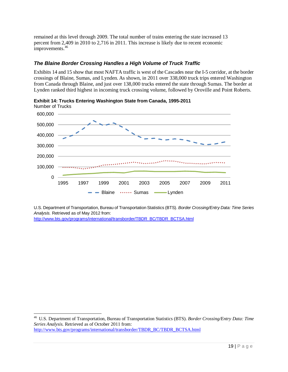remained at this level through 2009. The total number of trains entering the state increased 13 percent from 2,409 in 2010 to 2,716 in 2011. This increase is likely due to recent economic improvements.<sup>46</sup>

# *The Blaine Border Crossing Handles a High Volume of Truck Traffic*

Exhibits 14 and 15 show that most NAFTA traffic is west of the Cascades near the I-5 corridor, at the border crossings of Blaine, Sumas, and Lynden. As shown, in 2011 over 338,000 truck trips entered Washington from Canada through Blaine, and just over 138,000 trucks entered the state through Sumas. The border at Lynden ranked third highest in incoming truck crossing volume, followed by Oroville and Point Roberts.





U.S. Department of Transportation, Bureau of Transportation Statistics (BTS). *Border Crossing/Entry Data: Time Series Analysis.* Retrieved as of May 2012 from:

http://www.bts.gov/programs/international/transborder/TBDR\_BC/TBDR\_BCTSA.html

<sup>46</sup> U.S. Department of Transportation, Bureau of Transportation Statistics (BTS). *Border Crossing/Entry Data: Time Series Analysis.* Retrieved as of October 2011 from: http://www.bts.gov/programs/international/transborder/TBDR\_BC/TBDR\_BCTSA.html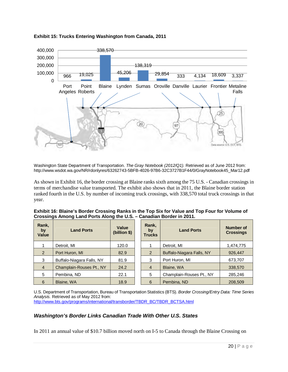

#### **Exhibit 15: Trucks Entering Washington from Canada, 2011**

Washington State Department of Transportation. *The Gray Notebook (2012/Q1).* Retrieved as of June 2012 from: http://www.wsdot.wa.gov/NR/rdonlyres/63262743-5BFB-4026-97B6-32C3727B1F44/0/GrayNotebook45\_Mar12.pdf

As shown in Exhibit 16, the border crossing at Blaine ranks sixth among the 75 U.S. - Canadian crossings in terms of merchandise value transported. The exhibit also shows that in 2011, the Blaine border station ranked fourth in the U.S. by number of incoming truck crossings, with 338,570 total truck crossings in that year.

| Exhibit 16: Blaine's Border Crossing Ranks in the Top Six for Value and Top Four for Volume of |
|------------------------------------------------------------------------------------------------|
| Crossings Among Land Ports Along the U.S. - Canadian Border in 2011.                           |
|                                                                                                |

| Rank,<br>by<br>Value | <b>Land Ports</b>         | Value<br>(billion \$) | Rank,<br>by<br><b>Trucks</b>  | <b>Land Ports</b>         | Number of<br><b>Crossings</b> |
|----------------------|---------------------------|-----------------------|-------------------------------|---------------------------|-------------------------------|
|                      | Detroit, MI               | 120.0                 |                               | Detroit, MI               | 1,474,775                     |
| 2                    | Port Huron, MI            | 82.9                  | 2                             | Buffalo-Niagara Falls, NY | 926,447                       |
| 3                    | Buffalo-Niagara Falls, NY | 81.9                  | 3                             | Port Huron, MI            | 673,707                       |
| $\overline{4}$       | Champlain-Rouses Pt., NY  | 24.2                  | $\overline{4}$                | Blaine, WA                | 338,570                       |
| 5                    | Pembina, ND               | 22.1                  | Champlain-Rouses Pt., NY<br>5 |                           | 285,246                       |
| 6                    | <b>Blaine, WA</b>         | 18.9                  | 6                             | Pembina, ND               | 208,509                       |

U.S. Department of Transportation, Bureau of Transportation Statistics (BTS). *Border Crossing/Entry Data: Time Series Analysis.* Retrieved as of May 2012 from: http://www.bts.gov/programs/international/transborder/TBDR\_BC/TBDR\_BCTSA.html

#### *Washington's Border Links Canadian Trade With Other U.S. States*

In 2011 an annual value of \$10.7 billion moved north on I-5 to Canada through the Blaine Crossing on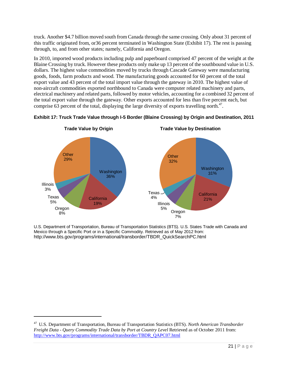truck. Another \$4.7 billion moved south from Canada through the same crossing. Only about 31 percent of this traffic originated from, or36 percent terminated in Washington State (Exhibit 17). The rest is passing through, to, and from other states; namely, California and Oregon.

In 2010, imported wood products including pulp and paperboard comprised 47 percent of the weight at the Blaine Crossing by truck. However these products only make up 13 percent of the southbound value in U.S. dollars. The highest value commodities moved by trucks through Cascade Gateway were manufacturing goods, foods, farm products and wood. The manufacturing goods accounted for 60 percent of the total export value and 43 percent of the total import value through the gateway in 2010. The highest value of non-aircraft commodities exported northbound to Canada were computer related machinery and parts, electrical machinery and related parts, followed by motor vehicles, accounting for a combined 32 percent of the total export value through the gateway. Other exports accounted for less than five percent each, but comprise  $63$  percent of the total, displaying the large diversity of exports travelling north.<sup>47</sup>.





U.S. Department of Transportation, Bureau of Transportation Statistics (BTS). U.S. States Trade with Canada and Mexico through a Specific Port or in a Specific Commodity. Retrieved as of May 2012 from: http://www.bts.gov/programs/international/transborder/TBDR\_QuickSearchPC.html

l

<sup>47</sup> U.S. Department of Transportation, Bureau of Transportation Statistics (BTS). *North American Transborder Freight Data - Query Commodity Trade Data by Port at Country Level* Retrieved as of October 2011 from: http://www.bts.gov/programs/international/transborder/TBDR\_QAPC07.html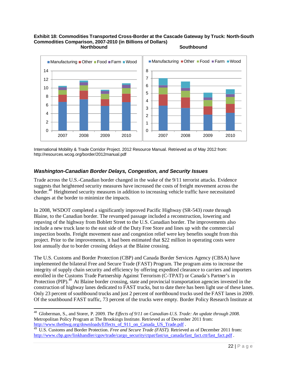#### **Exhibit 18: Commodities Transported Cross-Border at the Cascade Gateway by Truck: North-South Commodities Comparison, 2007-2010 (in Billions of Dollars) Northbound Southbound Southbound**



International Mobility & Trade Corridor Project. 2012 Resource Manual. Retrieved as of May 2012 from: http://resources.wcog.org/border/2012manual.pdf

#### *Washington-Canadian Border Delays, Congestion, and Security Issues*

Trade across the U.S.-Canadian border changed in the wake of the 9/11 terrorist attacks. Evidence suggests that heightened security measures have increased the costs of freight movement across the border.<sup>48</sup> Heightened security measures in addition to increasing vehicle traffic have necessitated changes at the border to minimize the impacts.

In 2008, WSDOT completed a significantly improved Pacific Highway (SR-543) route through Blaine, to the Canadian border. The revamped passage included a reconstruction, lowering and repaving of the highway from Boblett Street to the U.S. Canadian border. The improvements also include a new truck lane to the east side of the Duty Free Store and lines up with the commercial inspection booths. Freight movement ease and congestion relief were key benefits sought from this project. Prior to the improvements, it had been estimated that \$22 million in operating costs were lost annually due to border crossing delays at the Blaine crossing.

The U.S. Customs and Border Protection (CBP) and Canada Border Services Agency (CBSA) have implemented the bilateral Free and Secure Trade (FAST) Program. The program aims to increase the integrity of supply chain security and efficiency by offering expedited clearance to carriers and importers enrolled in the Customs Trade Partnership Against Terrorism (C-TPAT) or Canada's Partner's in Protection (PIP).<sup>49</sup> At Blaine border crossing, state and provincial transportation agencies invested in the construction of highway lanes dedicated to FAST trucks, but to date there has been light use of these lanes. Only 23 percent of southbound trucks and just 2 percent of northbound trucks used the FAST lanes in 2009. Of the southbound FAST traffic, 73 percent of the trucks were empty. Border Policy Research Institute at

<sup>48</sup> Globerman, S., and Storer, P. 2009. *The Effects of 9/11 on Canadian-U.S. Trade: An update through 2008.* Metropolitan Policy Program at The Brookings Institute. Retrieved as of December 2011 from: http://www.thetbwg.org/downloads/Effects\_of\_911\_on\_Canada\_US\_Trade.pdf .

<sup>&</sup>lt;sup>49</sup> U.S. Customs and Border Protection. *Free and Secure Trade (FAST)*. Retrieved as of December 2011 from: http://www.cbp.gov/linkhandler/cgov/trade/cargo\_security/ctpat/fast/us\_canada/fast\_fact.ctt/fast\_fact.pdf .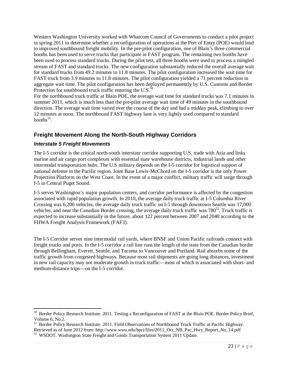Western Washington University worked with Whatcom Council of Governments to conduct a pilot project in spring 2011 to determine whether a reconfiguration of operations at the Port of Entry (POE) would lead to improved southbound freight mobility. In the pre-pilot configuration, one of Blain's three commercial booths has been used to serve trucks that participate in FAST program. The remaining two booths have been used to process standard trucks. During the pilot test, all three booths were used to process a mingled stream of FAST and standard trucks. The new configuration substantially reduced the overall average wait for standard trucks from 49.2 minutes to 11.8 minutes. The pilot configuration increased the wait time for FAST truck from 3.9 minutes to 11.8 minutes. The pilot configuration yielded a 71 percent reduction in aggregate wait time. The pilot configuration has been deployed permanently by U.S. Customs and Border Protection for southbound truck traffic entering the U.S. $^{50}$ 

For the northbound truck traffic at Blain POE, the average wait time for standard trucks was 7.1 minutes in summer 2011, which is much less than the pre-pilot average wait time of 49 minutes in the southbound direction. The average wait time varied over the course of the day and had a midday peak, climbing to over 12 minutes at noon. The northbound FAST highway lane is very lightly used compared to standard booths $51$ .

# **Freight Movement Along the North-South Highway Corridors**

#### *Interstate 5 Freight Movements*

 $\overline{a}$ 

The I-5 corridor is the critical north-south interstate corridor supporting U.S. trade with Asia and links marine and air cargo port complexes with essential state warehouse districts, industrial lands and other intermodal transportation hubs. The U.S military depends on the I-5 corridor for logistical support of national defense in the Pacific region. Joint Base Lewis-McChord on the I-5 corridor is the only Power Projection Platform on the West Coast. In the event of a major conflict, military traffic will surge through I-5 in Central Puget Sound.

I-5 serves Washington's major population centers, and corridor performance is affected by the congestion associated with rapid population growth. In 2010, the average daily truck traffic at I-5 Columbia River Crossing was 6,200 vehicles, the average daily truck traffic on I-5 through downtown Seattle was 17,000 vehicles, and near the Canadian Border crossing, the average daily truck traffic was 780<sup>52</sup>. Truck traffic is expected to increase substantially in the future, about 122 percent between 2007 and 2040 according to the FHWA Freight Analysis Framework (FAF3).

The I-5 Corridor serves nine intermodal rail yards, where BNSF and Union Pacific railroads connect with freight trucks and ports. In the I-5 corridor a rail line runs the length of the state from the Canadian border through Bellingham, Everett, Seattle, and Tacoma to Vancouver and Portland. Rail absorbs some of the traffic growth from congested highways. Because most rail shipments are going long distances, investment in new rail capacity may not moderate growth in truck traffic—most of which is associated with short- and medium-distance trips—on the I-5 corridor.

<sup>&</sup>lt;sup>50</sup> Border Policy Research Institute. 2011. Testing a Reconfiguration of FAST at the Blain POE. Border Policy Brief, Volume 6, No.2.

<sup>&</sup>lt;sup>51</sup> Border Policy Research Institute. 2011. Field Observations of Northbound Truck Traffic at Pacific Highway. Retrieved as of June 2012 from: http://www.wwu.edu/bpri/files/2011\_Oct\_NB\_Pac\_Hwy\_Report\_No\_14.pdf

 $52$  WSDOT. Washington State Freight and Goods Transportation System 2011 Update.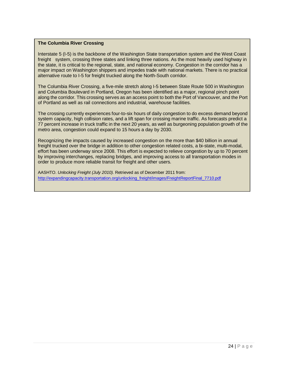#### **The Columbia River Crossing**

Interstate 5 (I-5) is the backbone of the Washington State transportation system and the West Coast freight system, crossing three states and linking three nations. As the most heavily used highway in the state, it is critical to the regional, state, and national economy. Congestion in the corridor has a major impact on Washington shippers and impedes trade with national markets. There is no practical alternative route to I-5 for freight trucked along the North-South corridor.

The Columbia River Crossing, a five-mile stretch along I-5 between State Route 500 in Washington and Columbia Boulevard in Portland, Oregon has been identified as a major, regional pinch point along the corridor. This crossing serves as an access point to both the Port of Vancouver, and the Port of Portland as well as rail connections and industrial, warehouse facilities.

The crossing currently experiences four-to-six hours of daily congestion to do excess demand beyond system capacity, high collision rates, and a lift span for crossing marine traffic. As forecasts predict a 77 percent increase in truck traffic in the next 20 years, as well as burgeoning population growth of the metro area, congestion could expand to 15 hours a day by 2030.

Recognizing the impacts caused by increased congestion on the more than \$40 billion in annual freight trucked over the bridge in addition to other congestion related costs, a bi-state, multi-modal, effort has been underway since 2008. This effort is expected to relieve congestion by up to 70 percent by improving interchanges, replacing bridges, and improving access to all transportation modes in order to produce more reliable transit for freight and other users.

AASHTO. *Unlocking Freight (July 2010).* Retrieved as of December 2011 from: http://expandingcapacity.transportation.org/unlocking\_freight/images/FreightReportFinal\_7710.pdf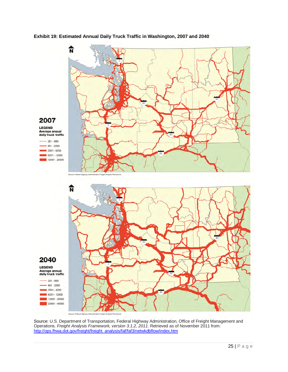#### **Exhibit 19: Estimated Annual Daily Truck Traffic in Washington, 2007 and 2040**



Source: U.S. Department of Transportation, Federal Highway Administration, Office of Freight Management and Operations. *Freight Analysis Framework, version 3.1.2, 2011*. Retrieved as of November 2011 from: http://ops.fhwa.dot.gov/freight/freight\_analysis/faf/faf3/netwkdbflow/index.htm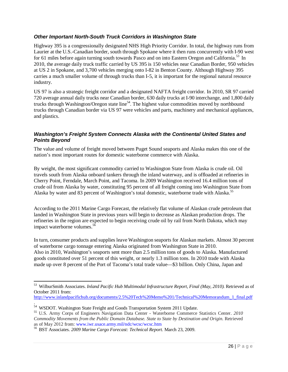### *Other Important North-South Truck Corridors in Washington State*

Highway 395 is a congressionally designated NHS High Priority Corridor. In total, the highway runs from Laurier at the U.S.-Canadian border, south through Spokane where it then runs concurrently with I-90 west for 61 miles before again turning south towards Pasco and on into Eastern Oregon and California.<sup>53</sup> In 2010, the average daily truck traffic carried by US 395 is 150 vehicles near Canadian Border, 950 vehicles at US 2 in Spokane, and 3,700 vehicles merging onto I-82 in Benton County. Although Highway 395 carries a much smaller volume of through trucks than I-5, it is important for the regional natural resource industry.

US 97 is also a strategic freight corridor and a designated NAFTA freight corridor. In 2010, SR 97 carried 720 average annual daily trucks near Canadian border, 630 daily trucks at I-90 interchange, and 1,800 daily trucks through Washington/Oregon state line<sup>54</sup>. The highest value commodities moved by northbound trucks through Canadian border via US 97 were vehicles and parts, machinery and mechanical appliances, and plastics.

#### *Washington's Freight System Connects Alaska with the Continental United States and Points Beyond*

The value and volume of freight moved between Puget Sound seaports and Alaska makes this one of the nation's most important routes for domestic waterborne commerce with Alaska.

By weight, the most significant commodity carried to Washington State from Alaska is crude oil. Oil travels south from Alaska onboard tankers through the inland waterway, and is offloaded at refineries in Cherry Point, Ferndale, March Point, and Tacoma. In 2009 Washington received 16.4 million tons of crude oil from Alaska by water, constituting 95 percent of all freight coming into Washington State from Alaska by water and 83 percent of Washington's total domestic, waterborne trade with Alaska.<sup>55</sup>

According to the 2011 Marine Cargo Forecast, the relatively flat volume of Alaskan crude petroleum that landed in Washington State in previous years will begin to decrease as Alaskan production drops. The refineries in the region are expected to begin receiving crude oil by rail from North Dakota, which may impact waterborne volumes.<sup>56</sup>

In turn, consumer products and supplies leave Washington seaports for Alaskan markets. Almost 30 percent of waterborne cargo tonnage entering Alaska originated from Washington State in 2010. Also in 2010, Washington's seaports sent more than 2.5 million tons of goods to Alaska. Manufactured goods constituted over 51 percent of this weight, or nearly 1.3 million tons. In 2010 trade with Alaska made up over 8 percent of the Port of Tacoma's total trade value—\$3 billion. Only China, Japan and

http://www.inlandpacifichub.org/documents/2.5%20Tech%20Memo%201/Technical%20Memorandum\_1\_final.pdf

l

<sup>53</sup> WilburSmith Associates. *Inland Pacific Hub Multimodal Infrastructure Report, Final (May, 2010).* Retrieved as of October 2011 from:

<sup>.</sup>  <sup>54</sup> WSDOT. Washington State Freight and Goods Transportation System 2011 Update.

<sup>55</sup> U.S. Army Corps of Engineers Navigation Data Center - Waterborne Commerce Statistics Center. *2010 Commodity Movements from the Public Domain Database. State to State by Destination and Origin.* Retrieved as of May 2012 from: www.iwr.usace.army.mil/ndc/wcsc/wcsc.htm

<sup>56</sup> BST Associates. *2009 Marine Cargo Forecast: Technical Report.* March 23, 2009.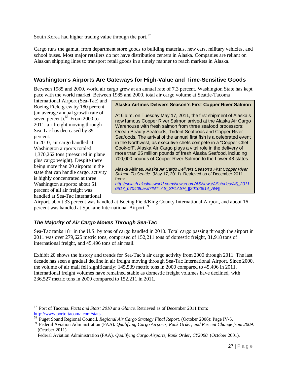South Korea had higher trading value through the port. $57$ 

Cargo runs the gamut, from department store goods to building materials, new cars, military vehicles, and school buses. Most major retailers do not have distribution centers in Alaska. Companies are reliant on Alaskan shipping lines to transport retail goods in a timely manner to reach markets in Alaska.

# **Washington's Airports Are Gateways for High-Value and Time-Sensitive Goods**

Between 1985 and 2000, world air cargo grew at an annual rate of 7.3 percent. Washington State has kept pace with the world market. Between 1985 and 2000, total air cargo volume at Seattle-Tacoma

International Airport (Sea-Tac) and Boeing Field grew by 180 percent (an average annual growth rate of seven percent).<sup>58</sup> From 2000 to 2011, air freight moving through Sea-Tac has decreased by 39 percent.

In 2010, air cargo handled at Washington airports totaled 1,370,262 tons (measured in plane plus cargo weight). Despite there being more than 20 airports in the state that can handle cargo, activity is highly concentrated at three Washington airports: about 51 percent of all air freight was handled at Sea-Tac International

 $\overline{a}$ 

**Alaska Airlines Delivers Season's First Copper River Salmon**

At 6 a.m. on Tuesday May 17, 2011, the first shipment of Alaska's now famous Copper River Salmon arrived at the Alaska Air Cargo Warehouse with fresh salmon from three seafood processors: Ocean Beauty Seafoods, Trident Seafoods and Copper River Seafoods. The arrival of the annual first fish is a celebrated event in the Northwest, as executive chefs compete in a "Copper Chef Cook-off". Alaska Air Cargo plays a vital role in the delivery of more than 25 million pounds of fresh Alaska Seafood, including 700,000 pounds of Copper River Salmon to the Lower 48 states.

Alaska Airlines. *Alaska Air Cargo Delivers Season's First Copper River Salmon To Seattle*. (May 17, 2011). Retrieved as of December 2011 from: *http://splash.alaskasworld.com/Newsroom/ASNews/ASstories/AS\_2011 0517\_070408.asp?INT=AS\_SPLASH\_||20100514\_AW||*

Airport, about 33 percent was handled at Boeing Field/King County International Airport, and about 16 percent was handled at Spokane International Airport.<sup>59</sup>

# *The Majority of Air Cargo Moves Through Sea-Tac*

Sea-Tac ranks  $18<sup>th</sup>$  in the U.S. by tons of cargo handled in 2010. Total cargo passing through the airport in 2011 was over 279,625 metric tons, comprised of 152,211 tons of domestic freight, 81,918 tons of international freight, and 45,496 tons of air mail.

Exhibit 20 shows the history and trends for Sea-Tac's air cargo activity from 2000 through 2011. The last decade has seen a gradual decline in air freight moving through Sea-Tac International Airport. Since 2000, the volume of air mail fell significantly: 145,539 metric tons in 2000 compared to 45,496 in 2011. International freight volumes have remained stable as domestic freight volumes have declined, with 236,527 metric tons in 2000 compared to 152,211 in 2011.

<sup>57</sup> Port of Tacoma. *Facts and Stats: 2010 at a Glance.* Retrieved as of December 2011 from: http://www.portoftacoma.com/stats .

<sup>58</sup> Puget Sound Regional Council. *Regional Air Cargo Strategy Final Report.* (October 2006): Page IV-5.

<sup>59</sup> Federal Aviation Administration (FAA). *Qualifying Cargo Airports, Rank Order, and Percent Change from 2009.* (October 2011).

Federal Aviation Administration (FAA). *Qualifying Cargo Airports, Rank Order, CY2000.* (October 2001).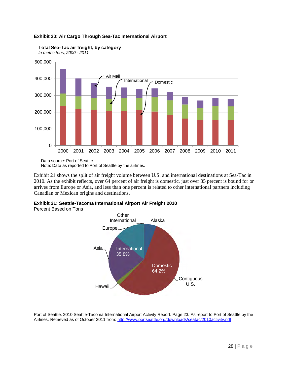#### **Exhibit 20: Air Cargo Through Sea-Tac International Airport**



**Total Sea-Tac air freight, by category**

*In metric tons, 2000 - 2011*

Data source: Port of Seattle. Note: Data as reported to Port of Seattle by the airlines.

Exhibit 21 shows the split of air freight volume between U.S. and international destinations at Sea-Tac in 2010. As the exhibit reflects, over 64 percent of air freight is domestic, just over 35 percent is bound for or arrives from Europe or Asia, and less than one percent is related to other international partners including Canadian or Mexican origins and destinations.

**Exhibit 21: Seattle-Tacoma International Airport Air Freight 2010** 

Percent Based on Tons



Port of Seattle. 2010 Seattle-Tacoma International Airport Activity Report. Page 23. As report to Port of Seattle by the Airlines. Retrieved as of October 2011 from: http://www.portseattle.org/downloads/seatac/2010activity.pdf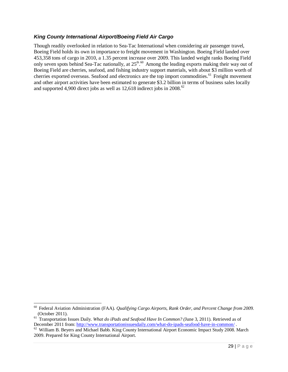#### *King County International Airport/Boeing Field Air Cargo*

Though readily overlooked in relation to Sea-Tac International when considering air passenger travel, Boeing Field holds its own in importance to freight movement in Washington. Boeing Field landed over 453,358 tons of cargo in 2010, a 1.35 percent increase over 2009. This landed weight ranks Boeing Field only seven spots behind Sea-Tac nationally, at  $25<sup>th,60</sup>$  Among the leading exports making their way out of Boeing Field are cherries, seafood, and fishing industry support materials, with about \$3 million worth of cherries exported overseas. Seafood and electronics are the top import commodities.<sup>61</sup> Freight movement and other airport activities have been estimated to generate \$3.2 billion in terms of business sales locally and supported 4,900 direct jobs as well as  $12{,}618$  indirect jobs in  $2008$ .<sup>62</sup>

<sup>60</sup> Federal Aviation Administration (FAA). *Qualifying Cargo Airports, Rank Order, and Percent Change from 2009.* (October 2011).

<sup>61</sup> Transportation Issues Daily. *What do iPads and Seafood Have In Common? (*June 3, 2011). Retrieved as of December 2011 from: http://www.transportationissuesdaily.com/what-do-ipads-seafood-have-in-common/.

 $62$  William B. Beyers and Michael Babb. King County International Airport Economic Impact Study 2008. March 2009. Prepared for King County International Airport.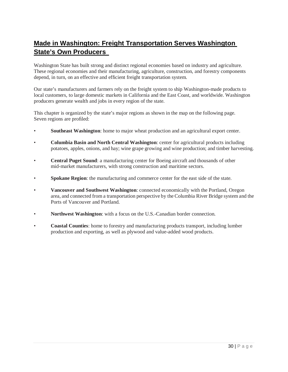# **Made in Washington: Freight Transportation Serves Washington State's Own Producers**

Washington State has built strong and distinct regional economies based on industry and agriculture. These regional economies and their manufacturing, agriculture, construction, and forestry components depend, in turn, on an effective and efficient freight transportation system.

Our state's manufacturers and farmers rely on the freight system to ship Washington-made products to local customers, to large domestic markets in California and the East Coast, and worldwide. Washington producers generate wealth and jobs in every region of the state.

This chapter is organized by the state's major regions as shown in the map on the following page. Seven regions are profiled:

- **Southeast Washington**: home to major wheat production and an agricultural export center.
- **Columbia Basin and North Central Washington**: center for agricultural products including potatoes, apples, onions, and hay; wine grape growing and wine production; and timber harvesting.
- **Central Puget Sound**: a manufacturing center for Boeing aircraft and thousands of other mid-market manufacturers, with strong construction and maritime sectors.
- **Spokane Region**: the manufacturing and commerce center for the east side of the state.
- **Vancouver and Southwest Washington**: connected economically with the Portland, Oregon area, and connected from a transportation perspective by the Columbia River Bridge system and the Ports of Vancouver and Portland.
- **Northwest Washington**: with a focus on the U.S.-Canadian border connection.
- **Coastal Counties**: home to forestry and manufacturing products transport, including lumber production and exporting, as well as plywood and value-added wood products.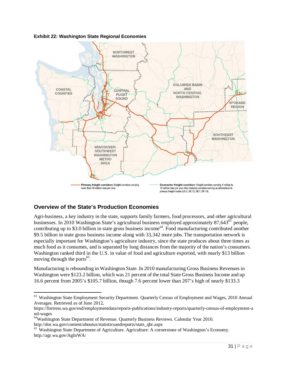#### **Exhibit 22: Washington State Regional Economies**



# **Overview of the State's Production Economies**

l

Agri-business, a key industry in the state, supports family farmers, food processors, and other agricultural businesses. In 2010 Washington State's agricultural business employed approximately 87,643<sup>63</sup> people, contributing up to \$3.0 billion in state gross business income<sup>64</sup>. Food manufacturing contributed another \$9.5 billion in state gross business income along with 33,342 more jobs. The transportation network is especially important for Washington's agriculture industry, since the state produces about three times as much food as it consumes, and is separated by long distances from the majority of the nation's consumers. Washington ranked third in the U.S. in value of food and agriculture exported, with nearly \$13 billion moving through the ports<sup>65</sup>.

Manufacturing is rebounding in Washington State. In 2010 manufacturing Gross Business Revenues in Washington were \$123.2 billion, which was 21 percent of the total State Gross Business Income and up 16.6 percent from 2005's \$105.7 billion, though 7.6 percent lower than 207's high of nearly \$133.3

<sup>&</sup>lt;sup>63</sup> Washington State Employment Security Department. Quarterly Census of Employment and Wages, 2010 Annual Averages. Retrieved as of June 2012,

https://fortress.wa.gov/esd/employmentdata/reports-publications/industry-reports/quarterly-census-of-employment-a nd-wages

<sup>64</sup>Washington State Department of Revenue. Quarterly Business Reviews. Calendar Year 2010. http://dor.wa.gov/content/aboutus/statisticsandreports/stats\_qbr.aspx

<sup>&</sup>lt;sup>65</sup> Washington State Department of Agriculture. Agriculture: A cornerstone of Washington's Economy. http://agr.wa.gov/AgInWA/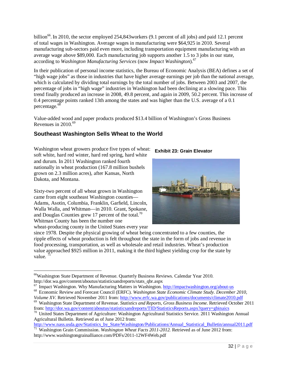billion<sup>66</sup>. In 2010, the sector employed 254,843 workers (9.1 percent of all jobs) and paid 12.1 percent of total wages in Washington. Average wages in manufacturing were \$64,925 in 2010. Several manufacturing sub-sectors paid even more, including transportation equipment manufacturing with an average wage above \$89,000. Each manufacturing job supports another 1.5 to 3 jobs in our state, according to *Washington Manufacturing Services* (now *Impact Washington*).<sup>67</sup>

In their publication of personal income statistics, the Bureau of Economic Analysis (BEA) defines a set of "high wage jobs" as those in industries that have higher average earnings per job than the national average, which is calculated by dividing total earnings by the total number of jobs. Between 2003 and 2007, the percentage of jobs in "high wage" industries in Washington had been declining at a slowing pace. This trend finally produced an increase in 2008, 49.8 percent, and again in 2009, 50.2 percent. This increase of 0.4 percentage points ranked 13th among the states and was higher than the U.S. average of a 0.1 percentage.<sup>68</sup>

Value-added wood and paper products produced \$13.4 billion of Washington's Gross Business Revenues in  $2010^{69}$ 

# **Southeast Washington Sells Wheat to the World**

Washington wheat growers produce five types of wheat: soft white, hard red winter, hard red spring, hard white and durum. In 2011 Washington ranked fourth nationally in wheat production (167.8 million bushels grown on 2.3 million acres), after Kansas, North Dakota, and Montana.

Sixty-two percent of all wheat grown in Washington came from eight southeast Washington counties— Adams, Asotin, Columbia, Franklin, Garfield, Lincoln, Walla Walla, and Whitman—in 2010. Grant, Spokane, and Douglas Counties grew 17 percent of the total.<sup>70</sup> Whitman County has been the number one wheat-producing county in the United States every year

 $\overline{a}$ 

#### **Exhibit 23: Grain Elevator**



since 1978. Despite the physical growing of wheat being concentrated to a few counties, the ripple effects of wheat production is felt throughout the state in the form of jobs and revenue in food processing, transportation, as well as wholesale and retail industries. Wheat's production value approached \$925 million in 2011, making it the third highest yielding crop for the state by value.

<sup>66</sup>Washington State Department of Revenue. Quarterly Business Reviews. Calendar Year 2010. http://dor.wa.gov/content/aboutus/statisticsandreports/stats\_qbr.aspx

<sup>&</sup>lt;sup>67</sup> Impact Washington. Why Manufacturing Matters in Washington. http://impactwashington.org/about-us

<sup>68</sup> Economic Review and Forecast Council (ERFC). *Washington State Economic Climate Study. December 2010, Volume XV.* Retrieved November 2011 from: http://www.erfc.wa.gov/publications/documents/climate2010.pdf

<sup>69</sup> Washington State Department of Revenue. *Statistics and Reports, Gross Business Income.* Retrieved October 2011 from: http://dor.wa.gov/content/aboutus/statisticsandreports/TID/StatisticsReports.aspx?query=gbinaics

<sup>&</sup>lt;sup>70</sup> United States Department of Agriculture: Washington Agricultural Statistics Service. 2011 Washington Annual Agricultural Bulletin. Retrieved as of June 2012 from:

http://www.nass.usda.gov/Statistics\_by\_State/Washington/Publications/Annual\_Statistical\_Bulletin/annual2011.pdf <sup>71</sup> Washington Grain Commission. *Washington Wheat Facts 2011-2012.* Retrieved as of June 2012 from: http://www.washingtongrainalliance.com/PDFs/2011-12WF4Web.pdf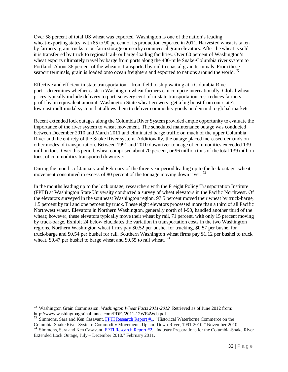Over 58 percent of total US wheat was exported. Washington is one of the nation's leading wheat-exporting states, with 85 to 90 percent of its production exported in 2011. Harvested wheat is taken by farmers' grain trucks to on-farm storage or nearby commercial grain elevators. After the wheat is sold, it is transferred by truck to regional rail- or barge-loading facilities. Over 60 percent of Washington's wheat exports ultimately travel by barge from ports along the 400-mile Snake-Columbia river system to Portland. About 36 percent of the wheat is transported by rail to coastal grain terminals. From these seaport terminals, grain is loaded onto ocean freighters and exported to nations around the world.<sup>72</sup>

Effective and efficient in-state transportation—from field to ship waiting at a Columbia River port—determines whether eastern Washington wheat farmers can compete internationally. Global wheat prices typically include delivery to port, so every cent of in-state transportation cost reduces farmers' profit by an equivalent amount. Washington State wheat growers' get a big boost from our state's low-cost multimodal system that allows them to deliver commodity goods on demand to global markets.

Recent extended lock outages along the Columbia River System provided ample opportunity to evaluate the importance of the river system to wheat movement. The scheduled maintenance outage was conducted between December 2010 and March 2011 and eliminated barge traffic on much of the upper Columbia River and the entirety of the Snake River system. Additionally, the outage placed increased demands on other modes of transportation. Between 1991 and 2010 downriver tonnage of commodities exceeded 139 million tons. Over this period, wheat comprised about 70 percent, or 96 million tons of the total 139 million tons, of commodities transported downriver.

During the months of January and February of the three-year period leading up to the lock outage, wheat movement constituted in excess of 80 percent of the tonnage moving down river.<sup>73</sup>

In the months leading up to the lock outage, researchers with the Freight Policy Transportation Institute (FPTI) at Washington State University conducted a survey of wheat elevators in the Pacific Northwest. Of the elevators surveyed in the southeast Washington region, 97.5 percent moved their wheat by truck-barge, 1.5 percent by rail and one percent by truck. These eight elevators processed more than a third of all Pacific Northwest wheat. Elevators in Northern Washington, generally north of I-90, handled another third of the wheat; however, these elevators typically move their wheat by rail, 71 percent, with only 15 percent moving by truck-barge. Exhibit 24 below elucidates the variation in transportation costs in the two Washington regions. Northern Washington wheat firms pay \$0.52 per bushel for trucking, \$0.57 per bushel for truck-barge and \$0.54 per bushel for rail. Southern Washington wheat firms pay \$1.12 per bushel to truck wheat, \$0.47 per bushel to barge wheat and \$0.55 to rail wheat.  $^{74}$ 

<sup>72</sup> Washington Grain Commission. *Washington Wheat Facts 2011-2012.* Retrieved as of June 2012 from: http://www.washingtongrainalliance.com/PDFs/2011-12WF4Web.pdf

 $73$  Simmons, Sara and Ken Casavant. FPTI Research Report #1. "Historical Waterborne Commerce on the Columbia-Snake River System: Commodity Movements Up and Down River, 1991-2010." November 2010.

<sup>&</sup>lt;sup>74</sup> Simmons, Sara and Ken Casavant. FPTI Research Report #2. "Industry Preparations for the Columbia-Snake River Extended Lock Outage, July – December 2010." February 2011.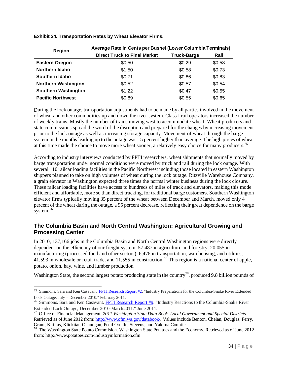| Region                     | Average Rate in Cents per Bushel (Lower Columbia Terminals) |                    |        |  |  |  |  |  |
|----------------------------|-------------------------------------------------------------|--------------------|--------|--|--|--|--|--|
|                            | <b>Direct Truck to Final Market</b>                         | <b>Truck-Barge</b> | Rail   |  |  |  |  |  |
| <b>Eastern Oregon</b>      | \$0.50                                                      | \$0.29             | \$0.58 |  |  |  |  |  |
| Northern Idaho             | \$1.50                                                      | \$0.58             | \$0.73 |  |  |  |  |  |
| Southern Idaho             | \$0.71                                                      | \$0.86             | \$0.83 |  |  |  |  |  |
| <b>Northern Washington</b> | \$0.52                                                      | \$0.57             | \$0.54 |  |  |  |  |  |
| <b>Southern Washington</b> | \$1.22                                                      | \$0.47             | \$0.55 |  |  |  |  |  |
| <b>Pacific Northwest</b>   | \$0.89                                                      | \$0.55             | \$0.65 |  |  |  |  |  |

**Exhibit 24. Transportation Rates by Wheat Elevator Firms.** 

During the lock outage, transportation adjustments had to be made by all parties involved in the movement of wheat and other commodities up and down the river system. Class I rail operators increased the number of weekly trains. Mostly the number of trains moving west to accommodate wheat. Wheat producers and state commissions spread the word of the disruption and prepared for the changes by increasing movement prior to the lock outage as well as increasing storage capacity. Movement of wheat through the barge system in the months leading up to the outage was 15 percent higher than average. The high prices of wheat at this time made the choice to move more wheat sooner, a relatively easy choice for many producers.<sup>75</sup>

According to industry interviews conducted by FPTI researchers, wheat shipments that normally moved by barge transportation under normal conditions were moved by truck and rail during the lock outage. With several 110 railcar loading facilities in the Pacific Northwest including those located in eastern Washington shippers planned to take on high volumes of wheat during the lock outage. Ritzville Warehouse Company, a grain elevator in Washington expected three times the normal winter business during the lock closure. These railcar loading facilities have access to hundreds of miles of track and elevators, making this mode efficient and affordable, more so than direct trucking, for traditional barge customers. Southern Washington elevator firms typically moving 35 percent of the wheat between December and March, moved only 4 percent of the wheat during the outage, a 95 percent decrease, reflecting their great dependence on the barge system. $76$ 

# **The Columbia Basin and North Central Washington: Agricultural Growing and Processing Center**

In 2010, 137,166 jobs in the Columbia Basin and North Central Washington regions were directly dependent on the efficiency of our freight system: 57,487 in agriculture and forestry, 20,055 in manufacturing (processed food and other sectors), 6,476 in transportation, warehousing, and utilities, 41,593 in wholesale or retail trade, and 11,555 in construction.<sup>77</sup> This region is a national center of apple, potato, onion, hay, wine, and lumber production.

Washington State, the second largest potato producing state in the country<sup>78</sup>, produced 9.8 billion pounds of

 $\overline{a}$ <sup>75</sup> Simmons, Sara and Ken Casavant. FPTI Research Report #2. "Industry Preparations for the Columbia-Snake River Extended Lock Outage, July – December 2010." February 2011.

<sup>76</sup> Simmons, Sara and Ken Casavant. FPTI Research Report #9. "Industry Reactions to the Columbia-Snake River Extended Lock Outage, December 2010-March2011." June 2011.

<sup>77</sup> Office of Financial Management. *2011 Washington State Data Book. Local Government and Special Districts.*  Retrieved as of June 2012 from: http://www.ofm.wa.gov/databook/*.* Values include Benton, Chelan, Douglas, Ferry,

Grant, Kittitas, Klickitat, Okanogan, Pend Oreille, Stevens, and Yakima Counties.<br><sup>78</sup> The Washington State Potato Commision. Washington State Potatoes and the Economy. Retrieved as of June 2012 from: http://www.potatoes.com/industryinformation.cfm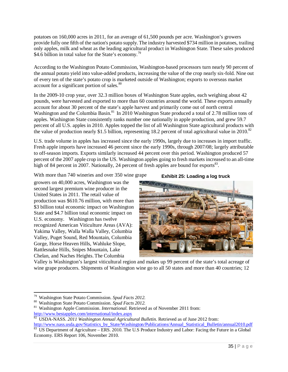potatoes on 160,000 acres in 2011, for an average of 61,500 pounds per acre. Washington's growers provide fully one fifth of the nation's potato supply.The industry harvested \$734 million in potatoes, trailing only apples, milk and wheat as the leading agricultural product in Washington State. These sales produced \$4.6 billion in total value for the State's economy.<sup>79</sup>

According to the Washington Potato Commission, Washington-based processors turn nearly 90 percent of the annual potato yield into value-added products, increasing the value of the crop nearly six-fold. Nine out of every ten of the state's potato crop is marketed outside of Washington; exports to overseas market account for a significant portion of sales.<sup>80</sup>

In the 2009-10 crop year, over 32.3 million boxes of Washington State apples, each weighing about 42 pounds, were harvested and exported to more than 60 countries around the world. These exports annually account for about 30 percent of the state's apple harvest and primarily come out of north central Washington and the Columbia Basin.<sup>81</sup> In 2010 Washington State produced a total of 2.78 million tons of apples. Washington State consistently ranks number one nationally in apple production, and grew 59.7 percent of all U.S. apples in 2010. Apples topped the list of all Washington State agricultural products with the value of production nearly \$1.5 billion, representing 18.2 percent of total agricultural value in 2010.<sup>82</sup>

U.S. trade volume in apples has increased since the early 1990s, largely due to increases in import traffic. Fresh apple imports have increased 46 percent since the early 1990s, through 2007/08; largely attributable to off-season imports. Exports similarly increased 44 percent over this period. Washington produced 57 percent of the 2007 apple crop in the US. Washington apples going to fresh markets increased to an all-time high of 84 percent in 2007. Nationally, 24 percent of fresh apples are bound for exports $^{83}$ .

With more than 740 wineries and over 350 wine grape

growers on 40,000 acres, Washington was the second largest premium wine producer in the United States in 2011. The retail value of production was \$610.76 million, with more than \$3 billion total economic impact on Washington State and \$4.7 billion total economic impact on U.S. economy. Washington has twelve recognized American Viticulture Areas (AVA): Yakima Valley, Walla Walla Valley, Columbia Valley, Puget Sound, Red Mountain, Columbia Gorge, Horse Heaven Hills, Wahluke Slope, Rattlesnake Hills, Snipes Mountain, Lake Chelan, and Naches Heights. The Columbia

**Exhibit 25: Loading a log truck**



Valley is Washington's largest viticultural region and makes up 99 percent of the state's total acreage of wine grape producers. Shipments of Washington wine go to all 50 states and more than 40 countries; 12

l

<sup>79</sup> Washington State Potato Commission. *Spud Facts 2012.* 

<sup>80</sup> Washington State Potato Commission. *Spud Facts 2012.*

<sup>&</sup>lt;sup>81</sup> Washington Apple Commission. *International*. Retrieved as of November 2011 from: http://www.bestapples.com/international/index.aspx<br>
82 HSDA MASS 2011 V.

<sup>82</sup> USDA-NASS. *2011 Washington Annual Agricultural Bulletin.* Retrieved as of June 2012 from:

http://www.nass.usda.gov/Statistics\_by\_State/Washington/Publications/Annual\_Statistical\_Bulletin/annual2010.pdf  $83 \text{ US Department of Agriculture} - \text{ERS. 2010.}$  The U.S Produce Industry and Labor: Facing the Future in a Global Economy. ERS Report 106, November 2010.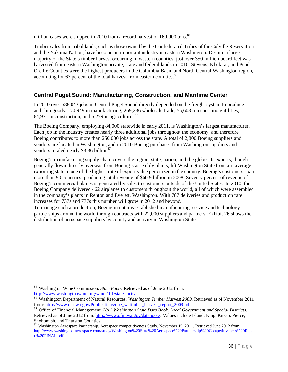million cases were shipped in 2010 from a record harvest of 160,000 tons.<sup>84</sup>

Timber sales from tribal lands, such as those owned by the Confederated Tribes of the Colville Reservation and the Yakama Nation, have become an important industry in eastern Washington. Despite a large majority of the State's timber harvest occurring in western counties, just over 350 million board feet was harvested from eastern Washington private, state and federal lands in 2010. Stevens, Klickitat, and Pend Oreille Counties were the highest producers in the Columbia Basin and North Central Washington region, accounting for 67 percent of the total harvest from eastern counties.<sup>85</sup>

# **Central Puget Sound: Manufacturing, Construction, and Maritime Center**

In 2010 over 588,043 jobs in Central Puget Sound directly depended on the freight system to produce and ship goods: 170,949 in manufacturing, 269,236 wholesale trade, 56,608 transportation/utilities, 84,971 in construction, and 6,279 in agriculture. <sup>86</sup>

The Boeing Company, employing 84,000 statewide in early 2011, is Washington's largest manufacturer. Each job in the industry creates nearly three additional jobs throughout the economy, and therefore Boeing contributes to more than 250,000 jobs across the state. A total of 2,800 Boeing suppliers and vendors are located in Washington, and in 2010 Boeing purchases from Washington suppliers and vendors totaled nearly \$3.36 billion $^{87}$ .

Boeing's manufacturing supply chain covers the region, state, nation, and the globe. Its exports, though generally flown directly overseas from Boeing's assembly plants, lift Washington State from an 'average' exporting state to one of the highest rate of export value per citizen in the country. Boeing's customers span more than 90 countries, producing total revenue of \$60.9 billion in 2008. Seventy percent of revenue of Boeing's commercial planes is generated by sales to customers outside of the United States. In 2010, the Boeing Company delivered 462 airplanes to customers throughout the world, all of which were assembled in the company's plants in Renton and Everett, Washington. With 787 deliveries and production rate increases for 737s and 777s this number will grow in 2012 and beyond.

To manage such a production, Boeing maintains established manufacturing, service and technology partnerships around the world through contracts with 22,000 suppliers and partners. Exhibit 26 shows the distribution of aerospace suppliers by county and activity in Washington State.

<sup>84</sup> Washington Wine Commission. *State Facts.* Retrieved as of June 2012 from: http://www.washingtonwine.org/wine-101/state-facts/

<sup>85</sup> Washington Department of Natural Resources. *Washington Timber Harvest 2009.* Retrieved as of November 2011 from: http://www.dnr.wa.gov/Publications/obe\_watimber\_harvest\_report\_2009.pdf

<sup>86</sup> Office of Financial Management. *2011 Washington State Data Book. Local Government and Special Districts.*  Retrieved as of June 2012 from: http://www.ofm.wa.gov/databook/*.* Values include Island, King, Kitsap, Pierce, Snohomish, and Thurston Counties.

<sup>87</sup> Washington Aerospace Partnership. Aerospace competitiveness Study. November 15, 2011. Retrieved June 2012 from http://www.washington-aerospace.com/study/Washington%20State%20Aerospace%20Partnership%20Competitiveness%20Repo rt%20FINAL.pdf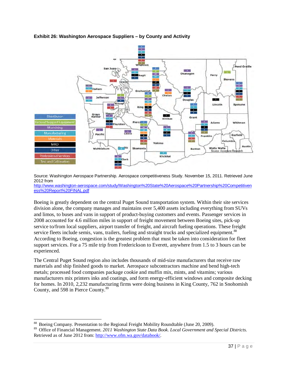# **Exhibit 26: Washington Aerospace Suppliers – by County and Activity**



Source: Washington Aerospace Partnership. Aerospace competitiveness Study. November 15, 2011. Retrieved June 2012 from

http://www.washington-aerospace.com/study/Washington%20State%20Aerospace%20Partnership%20Competitiven ess%20Report%20FINAL.pdf

Boeing is greatly dependent on the central Puget Sound transportation system. Within their site services division alone, the company manages and maintains over 5,400 assets including everything from SUVs and limos, to buses and vans in support of product-buying customers and events. Passenger services in 2008 accounted for 4.6 million miles in support of freight movement between Boeing sites, pick-up service to/from local suppliers, airport transfer of freight, and aircraft fueling operations. These freight service fleets include semis, vans, trailers, fueling and straight trucks and specialized equipment.<sup>88</sup> According to Boeing, congestion is the greatest problem that must be taken into consideration for fleet support services. For a 75 mile trip from Frederickson to Everett, anywhere from 1.5 to 3 hours can be experienced.

The Central Puget Sound region also includes thousands of mid-size manufacturers that receive raw materials and ship finished goods to market. Aerospace subcontractors machine and bend high-tech metals; processed food companies package cookie and muffin mix, mints, and vitamins; various manufacturers mix printers inks and coatings, and form energy-efficient windows and composite decking for homes. In 2010, 2,232 manufacturing firms were doing business in King County, 762 in Snohomish County, and 598 in Pierce County.<sup>89</sup>

 $\overline{\phantom{a}}$ <sup>88</sup> Boeing Company. Presentation to the Regional Freight Mobility Roundtable (June 20, 2009).<br><sup>89</sup> Office of Financial Management, 2011 Washington State Data Book, Local Government and

<sup>89</sup> Office of Financial Management. *2011 Washington State Data Book. Local Government and Special Districts.*  Retrieved as of June 2012 from: http://www.ofm.wa.gov/databook/*.*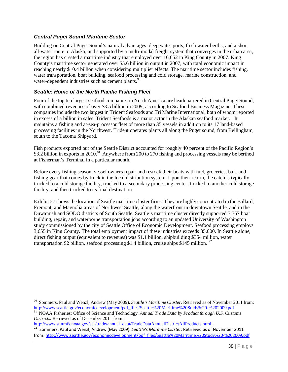#### *Central Puget Sound Maritime Sector*

Building on Central Puget Sound's natural advantages: deep water ports, fresh water berths, and a short all-water route to Alaska, and supported by a multi-modal freight system that converges in the urban area, the region has created a maritime industry that employed over 16,652 in King County in 2007. King County's maritime sector generated over \$5.6 billion in output in 2007, with total economic impact in reaching nearly \$10.4 billion when considering multiplier effects. The maritime sector includes fishing, water transportation, boat building, seafood processing and cold storage, marine construction, and water-dependent industries such as cement plants.<sup>90</sup>

#### *Seattle: Home of the North Pacific Fishing Fleet*

Four of the top ten largest seafood companies in North America are headquartered in Central Puget Sound, with combined revenues of over \$3.5 billion in 2009, according to Seafood Business Magazine. These companies include the two largest in Trident Seafoods and Tri Marine International, both of whom reported in excess of a billion in sales. Trident Seafoods is a major actor in the Alaskan seafood market. It maintains a fishing and at-sea-processor fleet of more than 35 vessels in addition to its 17 land-based processing facilities in the Northwest. Trident operates plants all along the Puget sound, from Bellingham, south to the Tacoma Shipyard.

Fish products exported out of the Seattle District accounted for roughly 40 percent of the Pacific Region's \$3.2 billion in exports in 2010.<sup>91</sup> Anywhere from 200 to 270 fishing and processing vessels may be berthed at Fisherman's Terminal in a particular month.

Before every fishing season, vessel owners repair and restock their boats with fuel, groceries, bait, and fishing gear that comes by truck in the local distribution system. Upon their return, the catch is typically trucked to a cold storage facility, trucked to a secondary processing center, trucked to another cold storage facility, and then trucked to its final destination.

Exhibit 27 shows the location of Seattle maritime cluster firms. They are highly concentrated in the Ballard, Fremont, and Magnolia areas of Northwest Seattle, along the waterfront in downtown Seattle, and in the Duwamish and SODO districts of South Seattle. Seattle's maritime cluster directly supported 7,767 boat building, repair, and waterborne transportation jobs according to an updated University of Washington study commissioned by the city of Seattle Office of Economic Development. Seafood processing employs 3,655 in King County. The total employment impact of these industries exceeds 35,000. In Seattle alone, direct fishing output (equivalent to revenues) was \$1.1 billion, shipbuilding \$354 million, water transportation \$2 billion, seafood processing \$1.4 billion, cruise ships \$145 million.  $92$ 

http://www.st.nmfs.noaa.gov/st1/trade/annual\_data/TradeDataAnnualDistrictAllProducts.html .

l

<sup>90</sup> Sommers, Paul and Wenzl, Andrew (May 2009). *Seattle's Maritime Cluster.* Retrieved as of November 2011 from: http://www.seattle.gov/economicdevelopment/pdf\_files/Seattle%20Maritime%20Study%20-%202009.pdf<br><sup>91</sup> NOA A Fisherios: Office of Saire was 1.5 in the study of the contract of the study of the contract of the contract of the

<sup>91</sup> NOAA Fisheries: Office of Science and Technology. *Annual Trade Data by Product through U.S. Customs Districts.* Retrieved as of December 2011 from:

<sup>92</sup> Sommers, Paul and Wenzl, Andrew (May 2009). *Seattle's Maritime Cluster.* Retrieved as of November 2011 from: http://www.seattle.gov/economicdevelopment/pdf\_files/Seattle%20Maritime%20Study%20-%202009.pdf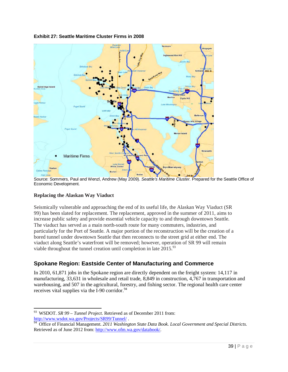

#### **Exhibit 27: Seattle Maritime Cluster Firms in 2008**

Source: Sommers, Paul and Wenzl, Andrew (May 2009). *Seattle's Maritime Cluster.* Prepared for the Seattle Office of Economic Development.

#### **Replacing the Alaskan Way Viaduct**

l

Seismically vulnerable and approaching the end of its useful life, the Alaskan Way Viaduct (SR 99) has been slated for replacement. The replacement, approved in the summer of 2011, aims to increase public safety and provide essential vehicle capacity to and through downtown Seattle. The viaduct has served as a main north-south route for many commuters, industries, and particularly for the Port of Seattle. A major portion of the reconstruction will be the creation of a bored tunnel under downtown Seattle that then reconnects to the street grid at either end. The viaduct along Seattle's waterfront will be removed; however, operation of SR 99 will remain viable throughout the tunnel creation until completion in late  $2015$ <sup>93</sup>

# **Spokane Region: Eastside Center of Manufacturing and Commerce**

In 2010, 61,871 jobs in the Spokane region are directly dependent on the freight system: 14,117 in manufacturing, 33,631 in wholesale and retail trade, 8,849 in construction, 4,767 in transportation and warehousing, and 507 in the agricultural, forestry, and fishing sector. The regional health care center receives vital supplies via the I-90 corridor. $94$ 

<sup>93</sup> WSDOT. *SR 99 – Tunnel Project.* Retrieved as of December 2011 from: http://www.wsdot.wa.gov/Projects/SR99/Tunnel/ .

<sup>&</sup>lt;sup>94</sup> Office of Financial Management. *2011 Washington State Data Book. Local Government and Special Districts.* Retrieved as of June 2012 from: http://www.ofm.wa.gov/databook/*.*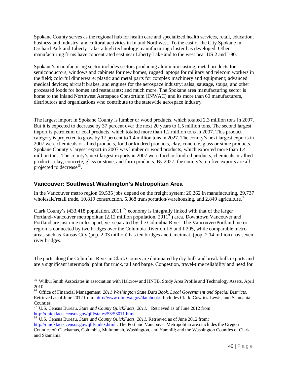Spokane County serves as the regional hub for health care and specialized health services, retail, education, business and industry, and cultural activities in Inland Northwest. To the east of the City Spokane in Orchard Park and Liberty Lake, a high technology manufacturing cluster has developed. Other manufacturing firms have concentrated east near Liberty Lake and to the west near US 2 and I-90.

Spokane's manufacturing sector includes sectors producing aluminum casting, metal products for semiconductors, windows and cabinets for new homes, rugged laptops for military and telecom workers in the field; colorful dinnerware; plastic and metal parts for complex machinery and equipment; advanced medical devices; aircraft brakes, and engines for the aerospace industry; salsa, sausage, soups, and other processed foods for homes and restaurants; and much more. The Spokane area manufacturing sector is home to the Inland Northwest Aerospace Consortium (INWAC) and its more than 60 manufacturers, distributors and organizations who contribute to the statewide aerospace industry.

The largest import in Spokane County is lumber or wood products, which totaled 2.3 million tons in 2007. But it is expected to decrease by 37 percent over the next 20 years to 1.5 million tons. The second largest import is petroleum or coal products, which totaled more than 1.2 million tons in 2007. This product category is projected to grow by 17 percent to 1.4 million tons in 2027. The county's next largest exports in 2007 were chemicals or allied products, food or kindred products, clay, concrete, glass or stone products. Spokane County's largest export in 2007 was lumber or wood products, which exported more than 1.4 million tons. The county's next largest exports in 2007 were food or kindred products, chemicals or allied products, clay, concrete, glass or stone, and farm products. By 2027, the county's top five exports are all projected to decrease<sup>95</sup>.

# **Vancouver: Southwest Washington's Metropolitan Area**

l

In the Vancouver metro region 69,535 jobs depend on the freight system: 20,262 in manufacturing, 29,737 wholesale/retail trade, 10,819 construction, 5,868 transportation/warehousing, and 2,849 agriculture.<sup>96</sup>

Clark County's (433,418 population,  $2011<sup>97</sup>$ ) economy is integrally linked with that of the larger Portland-Vancouver metropolitan  $(2.12 \text{ million population}, 2011\textsupscript{98})$  area. Downtown Vancouver and Portland are just nine miles apart, yet separated by the Columbia River. The Vancouver/Portland metro region is connected by two bridges over the Columbia River on I-5 and I-205, while comparable metro areas such as Kansas City (pop. 2.03 million) has ten bridges and Cincinnati (pop. 2.14 million) has seven river bridges.

The ports along the Columbia River in Clark County are dominated by dry-bulk and break-bulk exports and are a significant intermodal point for truck, rail and barge. Congestion, travel-time reliability and need for

<sup>&</sup>lt;sup>95</sup> WilburSmith Associates in association with Halcrow and HNTB. Study Area Profile and Technology Assets. April 2010.

<sup>96</sup> Office of Financial Management. *2011 Washington State Data Book. Local Government and Special Districts.*  Retrieved as of June 2012 from: http://www.ofm.wa.gov/databook/*.* Includes Clark, Cowlitz, Lewis, and Skamania Counties.

<sup>97</sup> U.S. Census Bureau. *State and County QuickFacts, 2011.* Retrieved as of June 2012 from: http://quickfacts.census.gov/qfd/states/53/53011.html

<sup>98</sup> U.S. Census Bureau. *State and County QuickFacts, 2011.* Retrieved as of June 2012 from:

http://quickfacts.census.gov/qfd/index.html . The Portland Vancouver Metropolitan area includes the Oregon Counties of: Clackamas, Columbia, Multnomah, Washington, and Yamhill; and the Washington Counties of Clark and Skamania.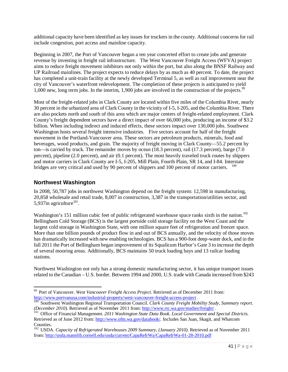additional capacity have been identified as key issues for truckers in the county. Additional concerns for rail include congestion, port access and mainline capacity.

Beginning in 2007, the Port of Vancouver began a ten year concerted effort to create jobs and generate revenue by investing in freight rail infrastructure. The West Vancouver Freight Access (WFVA) project aims to reduce freight movement inhibitors not only within the port, but also along the BNSF Railway and UP Railroad mainlines. The project expects to reduce delays by as much as 40 percent. To date, the project has completed a unit-train facility at the newly developed Terminal 5, as well as rail improvement near the city of Vancouver's waterfront redevelopment. The completion of these projects is anticipated to yield 1,000 new, long term jobs. In the interim, 1,900 jobs are involved in the construction of the projects.<sup>99</sup>

Most of the freight-related jobs in Clark County are located within five miles of the Columbia River, nearly 30 percent in the urbanized area of Clark County in the vicinity of I-5, I-205, and the Columbia River. There are also pockets north and south of this area which are major centers of freight-related employment. Clark County's freight dependent sectors have a direct impact of over 66,000 jobs, producing an income of \$3.2 billion. When including indirect and induced effects, these sectors impact over 130,000 jobs. Southwest Washington hosts several freight intensive industries. Five sectors account for half of the freight movement in the Portland-Vancouver area. These sectors are petroleum products, minerals, food and beverages, wood products, and grain. The majority of freight moving in Clark County—55.2 percent by ton—is carried by truck. The remainder moves by ocean (18.3 percent), rail (17.3 percent), barge (7.0 percent), pipeline (2.0 percent), and air (0.1 percent). The most heavily traveled truck routes by shippers and motor carriers in Clark County are I-5, I-205, Mill Plain, Fourth Plain, SR 14, and I-84. Interstate bridges are very critical and used by 90 percent of shippers and 100 percent of motor carriers. <sup>100</sup>

# **Northwest Washington**

 $\overline{a}$ 

In 2008, 50,787 jobs in northwest Washington depend on the freight system: 12,598 in manufacturing, 20,858 wholesale and retail trade, 8,007 in construction, 3,387 in the transportation/utilities sector, and 5,937in agriculture $^{101}$ .

Washington's 151 million cubic feet of public refrigerated warehouse space ranks sixth in the nation.<sup>102</sup> Bellingham Cold Storage (BCS) is the largest portside cold storage facility on the West Coast and the largest cold storage in Washington State, with one million square feet of refrigeration and freezer space. More than one billion pounds of product flow in and out of BCS annually, and the velocity of those moves has dramatically increased with new enabling technologies. BCS has a 900-foot deep-water dock, and in the fall 2011 the Port of Bellingham began improvement of its Squalicum Harbor's Gate 3 to increase the depth of several mooring areas. Additionally, BCS maintains 50 truck loading bays and 13 railcar loading stations.

Northwest Washington not only has a strong domestic manufacturing sector, it has unique transport issues related to the Canadian – U.S. border. Between 1994 and 2000, U.S. trade with Canada increased from \$243

<sup>99</sup> Port of Vancouver. *West Vancouver Freight Access Project.* Retrieved as of December 2011 from: http://www.portvanusa.com/industrial-property/west-vancouver-freight-access-project .

<sup>&</sup>lt;sup>100</sup> Southwest Washington Regional Transportation Council. *Clark County Freight Mobility Study, Summary report. (December 2010).* Retrieved as of November 2011 from: http://www.rtc.wa.gov/studies/freight/ .

<sup>&</sup>lt;sup>101</sup> Office of Financial Management. 2011 Washington State Data Book. Local Government and Special Districts. Retrieved as of June 2012 from: http://www.ofm.wa.gov/databook/*.* Includes San Juan, Skagit, and Whatcom Counties.

<sup>&</sup>lt;sup>102</sup> USDA. *Capacity of Refrigerated Warehouses 2009 Summary, (January 2010)*. Retrieved as of November 2011 from: http://usda.mannlib.cornell.edu/usda/current/CapaRefrWa/CapaRefrWa-01-28-2010.pdf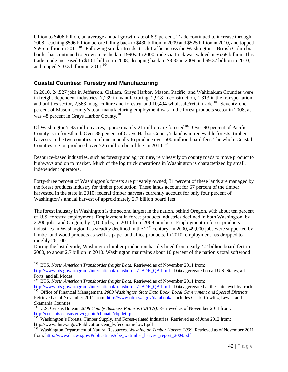billion to \$406 billion, an average annual growth rate of 8.9 percent. Trade continued to increase through 2008, reaching \$596 billion before falling back to \$430 billion in 2009 and \$525 billion in 2010, and topped \$596 million in 2011.<sup>103</sup> Following similar trends, truck traffic across the Washington – British Columbia border has continued to grow since the late 1990s. In 2000 trade via truck was valued at \$6.68 billion. This trade mode increased to \$10.1 billion in 2008, dropping back to \$8.32 in 2009 and \$9.37 billion in 2010, and topped \$10.3 billion in  $2011$ .<sup>104</sup>

# **Coastal Counties: Forestry and Manufacturing**

In 2010, 24,527 jobs in Jefferson, Clallam, Grays Harbor, Mason, Pacific, and Wahkiakum Counties were in freight-dependent industries: 7,239 in manufacturing, 2,918 in construction, 1,313 in the transportation and utilities sector, 2,563 in agriculture and forestry, and 10,494 wholesale/retail trade.<sup>105</sup> Seventy-one percent of Mason County's total manufacturing employment was in the forest products sector in 2008, as was 48 percent in Grays Harbor County.<sup>106</sup>

Of Washington's 43 million acres, approximately 21 million are forested<sup>107</sup>. Over 90 percent of Pacific County is in forestland. Over 88 percent of Grays Harbor County's land is in renewable forests; timber harvests in the two counties combine annually to produce over 500 million board feet. The whole Coastal Counties region produced over 726 million board feet in  $2010^{108}$ 

Resource-based industries, such as forestry and agriculture, rely heavily on county roads to move product to highways and on to market. Much of the log truck operations in Washington is characterized by small, independent operators.

Forty-three percent of Washington's forests are privately owned; 31 percent of these lands are managed by the forest products industry for timber production. These lands account for 67 percent of the timber harvested in the state in 2010; federal timber harvests currently account for only four percent of Washington's annual harvest of approximately 2.7 billion board feet.

The forest industry in Washington is the second largest in the nation, behind Oregon, with about ten percent of U.S. forestry employment. Employment in forest products industries declined in both Washington, by 2,200 jobs, and Oregon, by 2,100 jobs, in 2010 from 2009 numbers. Employment in forest products industries in Washington has steadily declined in the 21<sup>st</sup> century. In 2000, 49,000 jobs were supported by lumber and wood products as well as paper and allied products. In 2010, employment has dropped to roughly 26,100.

During the last decade, Washington lumber production has declined from nearly 4.2 billion board feet in 2000, to about 2.7 billion in 2010. Washington maintains about 10 percent of the nation's total softwood

l

<sup>&</sup>lt;sup>103</sup> BTS. *North American Transborder freight Data*. Retrieved as of November 2011 from:

http://www.bts.gov/programs/international/transborder/TBDR\_QA.html . Data aggregated on all U.S. States, all Ports, and all Modes.

<sup>&</sup>lt;sup>104</sup> BTS. *North American Transborder freight Data*. Retrieved as of November 2011 from:

http://www.bts.gov/programs/international/transborder/TBDR\_QA.html . Data aggregated at the state level by truck. <sup>105</sup> Office of Financial Management. 2009 Washington State Data Book. Local Government and Special Districts. Retrieved as of November 2011 from: http://www.ofm.wa.gov/databook/*.* Includes Clark, Cowlitz, Lewis, and

Skamania Counties. <sup>106</sup> U.S. Census Bureau. *2008 County Business Patterns (NAICS).* Retrieved as of November 2011 from:

http://censtats.census.gov/cgi-bin/cbpnaic/cbpdetl.pl .

<sup>107</sup> Washington's Forests, Timber Supply, and Forest-related Industries. Retrieved as of June 2012 from: http://www.dnr.wa.gov/Publications/em\_fwfeconomiclow1.pdf

<sup>&</sup>lt;sup>108</sup> Washington Department of Natural Resources. *Washington Timber Harvest 2009*. Retrieved as of November 2011 from: http://www.dnr.wa.gov/Publications/obe\_watimber\_harvest\_report\_2009.pdf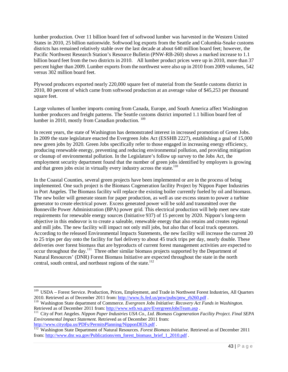lumber production. Over 11 billion board feet of softwood lumber was harvested in the Western United States in 2010, 25 billion nationwide. Softwood log exports from the Seattle and Columbia-Snake customs districts has remained relatively stable over the last decade at about 640 million board feet; however, the Pacific Northwest Research Station's Resource Bulletin (PNW-RB-260) shows a marked increase to 1.1 billion board feet from the two districts in 2010. All lumber product prices were up in 2010, more than 37 percent higher than 2009. Lumber exports from the northwest were also up in 2010 from 2009 volumes, 542 versus 302 million board feet.

Plywood producers exported nearly 220,000 square feet of material from the Seattle customs district in 2010, 80 percent of which came from softwood production at an average value of \$45,253 per thousand square feet.

Large volumes of lumber imports coming from Canada, Europe, and South America affect Washington lumber producers and freight patterns. The Seattle customs district imported 1.1 billion board feet of lumber in 2010, mostly from Canadian production.<sup>109</sup>

In recent years, the state of Washington has demonstrated interest in increased promotion of Green Jobs. In 2009 the state legislature enacted the Evergreen Jobs Act (ESSHB 2227), establishing a goal of 15,000 new green jobs by 2020. Green Jobs specifically refer to those engaged in increasing energy efficiency, producing renewable energy, preventing and reducing environmental pollution, and providing mitigation or cleanup of environmental pollution. In the Legislature's follow up survey to the Jobs Act, the employment security department found that the number of green jobs identified by employers is growing and that green jobs exist in virtually every industry across the state.<sup>110</sup>

In the Coastal Counties, several green projects have been implemented or are in the process of being implemented. One such project is the Biomass Cogeneration facility Project by Nippon Paper Industries in Port Angeles. The Biomass facility will replace the existing boiler currently fueled by oil and biomass. The new boiler will generate steam for paper production, as well as use excess steam to power a turbine generator to create electrical power. Excess generated power will be sold and transmitted over the Bonneville Power Administration (BPA) power grid. This electrical production will help meet new state requirements for renewable energy sources (Initiative 937) of 15 percent by 2020. Nippon's long-term objective in this endeavor is to create a saleable, renewable energy that also retains and creates regional and mill jobs. The new facility will impact not only mill jobs, but also that of local truck operators. According to the released Environmental Impacts Statements, the new facility will increase the current 20 to 25 trips per day onto the facility for fuel delivery to about 45 truck trips per day, nearly double. These deliveries over forest biomass that are byproducts of current forest management activities are expected to occur throughout the day.<sup>111</sup> Three other similar biomass projects supported by the Department of Natural Resources' (DNR) Forest Biomass Initiative are expected throughout the state in the north central, south central, and northeast regions of the state.<sup>112</sup>

<sup>&</sup>lt;sup>109</sup> USDA – Forest Service. Production, Prices, Employment, and Trade in Northwest Forest Industries, All Quarters 2010. Retrieved as of December 2011 from: http://www.fs.fed.us/pnw/pubs/pnw\_rb260.pdf .

<sup>&</sup>lt;sup>110</sup> Washington State department of Commerce. *Evergreen Jobs Initiative: Recovery Act Funds in Washington*. Retrieved as of December 2011 from: http://www.wtb.wa.gov/EvergreenJobsTeam.asp.

<sup>111</sup> City of Port Angeles. *Nippon Paper Industries USA Co., Ltd. Biomass Cogeneration Facility Project. Final SEPA Environmental Impact Statement.* Retrieved as of December 2011 from: http://www.cityofpa.us/PDFs/PermitsPlanning/NipponDEIS.pdf .

<sup>&</sup>lt;sup>112</sup> Washington State Department of Natural Resources. *Forest Biomass Initiative*. Retrieved as of December 2011 from: http://www.dnr.wa.gov/Publications/em\_forest\_biomass\_brief\_1\_2010.pdf .